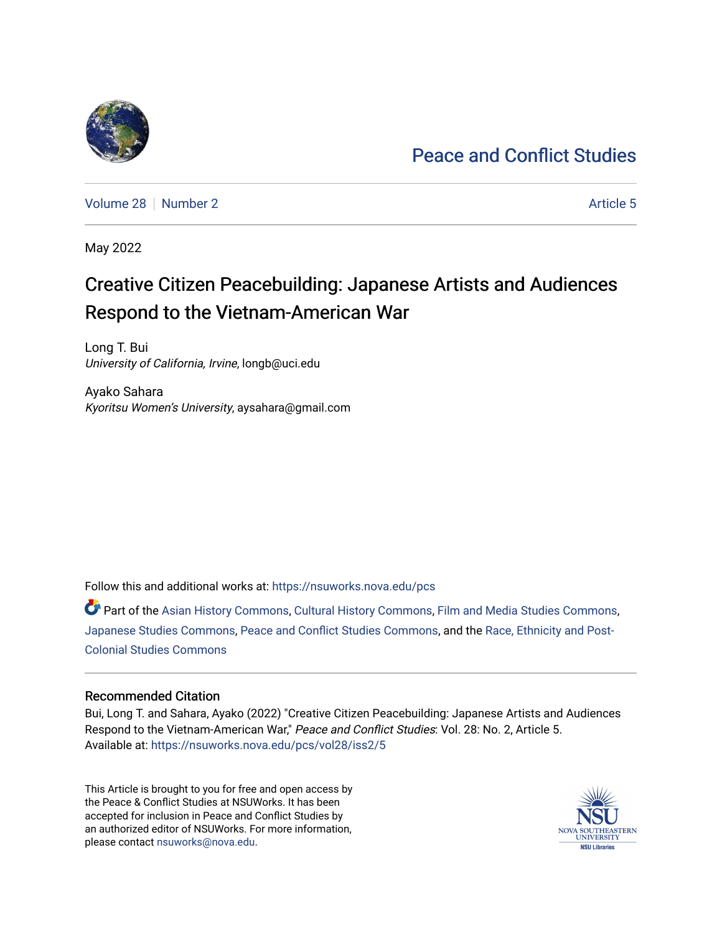### [Peace and Conflict Studies](https://nsuworks.nova.edu/pcs)

[Volume 28](https://nsuworks.nova.edu/pcs/vol28) [Number 2](https://nsuworks.nova.edu/pcs/vol28/iss2) Article 5

May 2022

## Creative Citizen Peacebuilding: Japanese Artists and Audiences Respond to the Vietnam-American War

Long T. Bui University of California, Irvine, longb@uci.edu

Ayako Sahara Kyoritsu Women's University, aysahara@gmail.com

Follow this and additional works at: [https://nsuworks.nova.edu/pcs](https://nsuworks.nova.edu/pcs?utm_source=nsuworks.nova.edu%2Fpcs%2Fvol28%2Fiss2%2F5&utm_medium=PDF&utm_campaign=PDFCoverPages)

Part of the [Asian History Commons](https://network.bepress.com/hgg/discipline/491?utm_source=nsuworks.nova.edu%2Fpcs%2Fvol28%2Fiss2%2F5&utm_medium=PDF&utm_campaign=PDFCoverPages), [Cultural History Commons,](https://network.bepress.com/hgg/discipline/496?utm_source=nsuworks.nova.edu%2Fpcs%2Fvol28%2Fiss2%2F5&utm_medium=PDF&utm_campaign=PDFCoverPages) [Film and Media Studies Commons,](https://network.bepress.com/hgg/discipline/563?utm_source=nsuworks.nova.edu%2Fpcs%2Fvol28%2Fiss2%2F5&utm_medium=PDF&utm_campaign=PDFCoverPages) [Japanese Studies Commons,](https://network.bepress.com/hgg/discipline/1287?utm_source=nsuworks.nova.edu%2Fpcs%2Fvol28%2Fiss2%2F5&utm_medium=PDF&utm_campaign=PDFCoverPages) [Peace and Conflict Studies Commons,](https://network.bepress.com/hgg/discipline/397?utm_source=nsuworks.nova.edu%2Fpcs%2Fvol28%2Fiss2%2F5&utm_medium=PDF&utm_campaign=PDFCoverPages) and the [Race, Ethnicity and Post-](https://network.bepress.com/hgg/discipline/566?utm_source=nsuworks.nova.edu%2Fpcs%2Fvol28%2Fiss2%2F5&utm_medium=PDF&utm_campaign=PDFCoverPages)[Colonial Studies Commons](https://network.bepress.com/hgg/discipline/566?utm_source=nsuworks.nova.edu%2Fpcs%2Fvol28%2Fiss2%2F5&utm_medium=PDF&utm_campaign=PDFCoverPages)

#### Recommended Citation

Bui, Long T. and Sahara, Ayako (2022) "Creative Citizen Peacebuilding: Japanese Artists and Audiences Respond to the Vietnam-American War," Peace and Conflict Studies: Vol. 28: No. 2, Article 5. Available at: [https://nsuworks.nova.edu/pcs/vol28/iss2/5](https://nsuworks.nova.edu/pcs/vol28/iss2/5?utm_source=nsuworks.nova.edu%2Fpcs%2Fvol28%2Fiss2%2F5&utm_medium=PDF&utm_campaign=PDFCoverPages)

This Article is brought to you for free and open access by the Peace & Conflict Studies at NSUWorks. It has been accepted for inclusion in Peace and Conflict Studies by an authorized editor of NSUWorks. For more information, please contact [nsuworks@nova.edu](mailto:nsuworks@nova.edu).

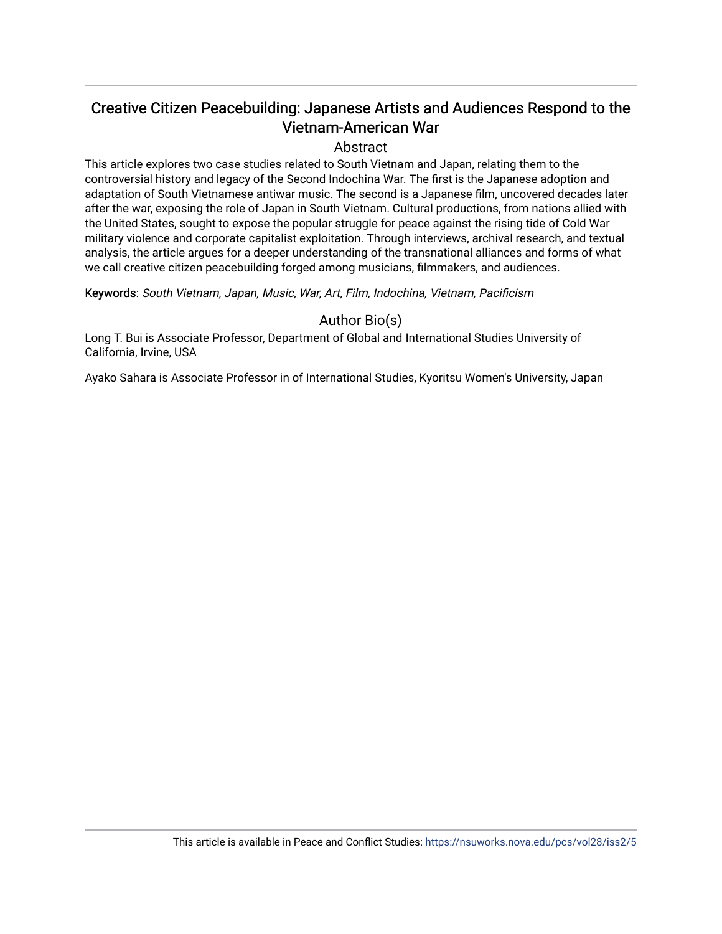### Creative Citizen Peacebuilding: Japanese Artists and Audiences Respond to the Vietnam-American War

#### Abstract

This article explores two case studies related to South Vietnam and Japan, relating them to the controversial history and legacy of the Second Indochina War. The first is the Japanese adoption and adaptation of South Vietnamese antiwar music. The second is a Japanese film, uncovered decades later after the war, exposing the role of Japan in South Vietnam. Cultural productions, from nations allied with the United States, sought to expose the popular struggle for peace against the rising tide of Cold War military violence and corporate capitalist exploitation. Through interviews, archival research, and textual analysis, the article argues for a deeper understanding of the transnational alliances and forms of what we call creative citizen peacebuilding forged among musicians, filmmakers, and audiences.

Keywords: South Vietnam, Japan, Music, War, Art, Film, Indochina, Vietnam, Pacificism

#### Author Bio(s)

Long T. Bui is Associate Professor, Department of Global and International Studies University of California, Irvine, USA

Ayako Sahara is Associate Professor in of International Studies, Kyoritsu Women's University, Japan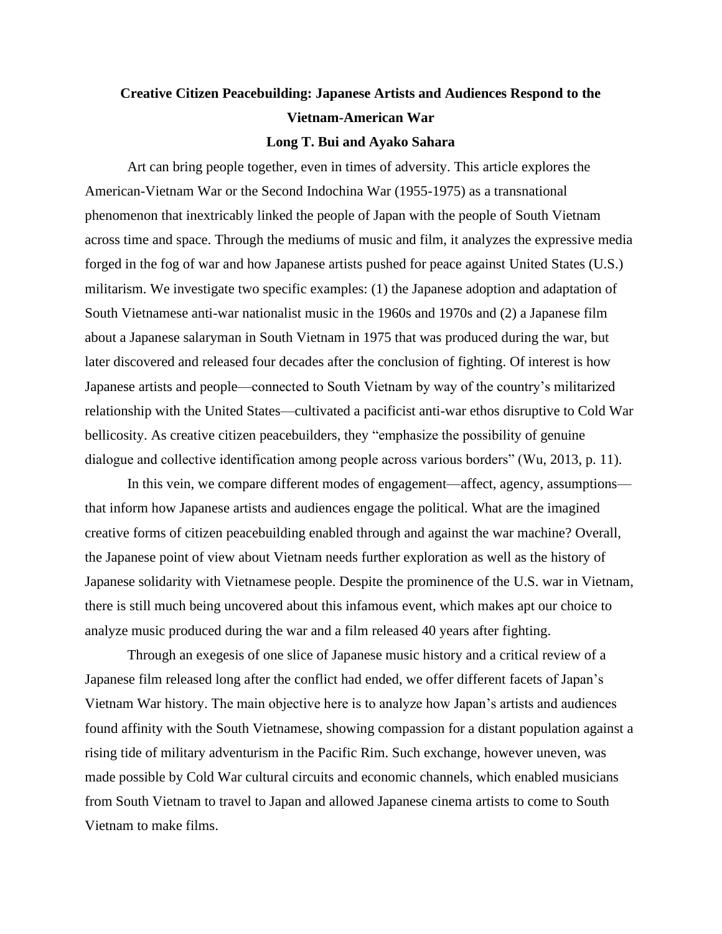# **Creative Citizen Peacebuilding: Japanese Artists and Audiences Respond to the Vietnam-American War**

#### **Long T. Bui and Ayako Sahara**

Art can bring people together, even in times of adversity. This article explores the American-Vietnam War or the Second Indochina War (1955-1975) as a transnational phenomenon that inextricably linked the people of Japan with the people of South Vietnam across time and space. Through the mediums of music and film, it analyzes the expressive media forged in the fog of war and how Japanese artists pushed for peace against United States (U.S.) militarism. We investigate two specific examples: (1) the Japanese adoption and adaptation of South Vietnamese anti-war nationalist music in the 1960s and 1970s and (2) a Japanese film about a Japanese salaryman in South Vietnam in 1975 that was produced during the war, but later discovered and released four decades after the conclusion of fighting. Of interest is how Japanese artists and people—connected to South Vietnam by way of the country's militarized relationship with the United States—cultivated a pacificist anti-war ethos disruptive to Cold War bellicosity. As creative citizen peacebuilders, they "emphasize the possibility of genuine dialogue and collective identification among people across various borders" (Wu, 2013, p. 11).

In this vein, we compare different modes of engagement—affect, agency, assumptions that inform how Japanese artists and audiences engage the political. What are the imagined creative forms of citizen peacebuilding enabled through and against the war machine? Overall, the Japanese point of view about Vietnam needs further exploration as well as the history of Japanese solidarity with Vietnamese people. Despite the prominence of the U.S. war in Vietnam, there is still much being uncovered about this infamous event, which makes apt our choice to analyze music produced during the war and a film released 40 years after fighting.

Through an exegesis of one slice of Japanese music history and a critical review of a Japanese film released long after the conflict had ended, we offer different facets of Japan's Vietnam War history. The main objective here is to analyze how Japan's artists and audiences found affinity with the South Vietnamese, showing compassion for a distant population against a rising tide of military adventurism in the Pacific Rim. Such exchange, however uneven, was made possible by Cold War cultural circuits and economic channels, which enabled musicians from South Vietnam to travel to Japan and allowed Japanese cinema artists to come to South Vietnam to make films.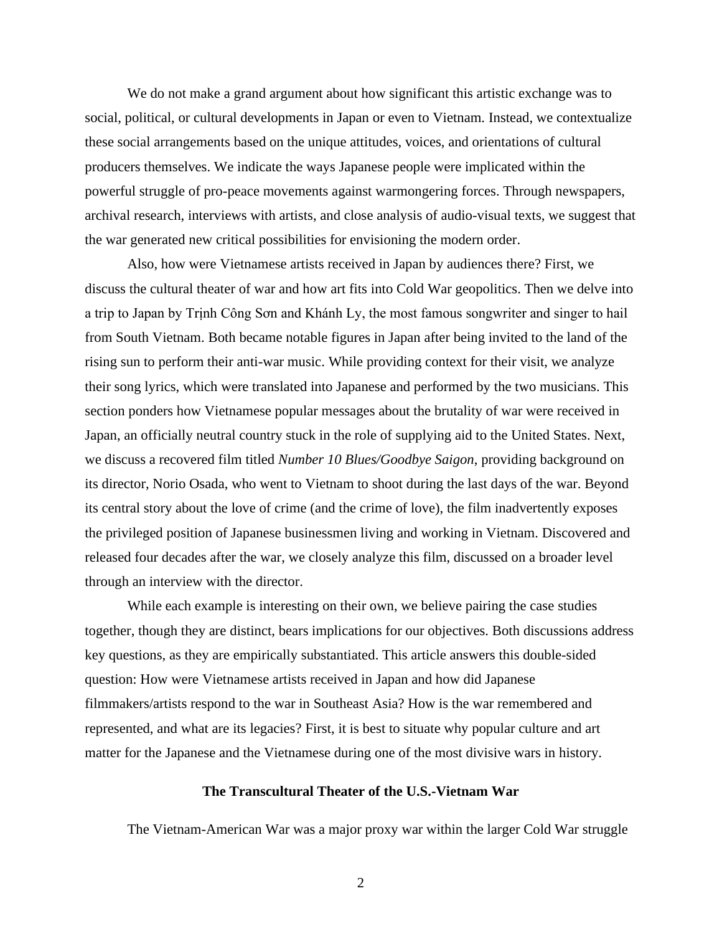We do not make a grand argument about how significant this artistic exchange was to social, political, or cultural developments in Japan or even to Vietnam. Instead, we contextualize these social arrangements based on the unique attitudes, voices, and orientations of cultural producers themselves. We indicate the ways Japanese people were implicated within the powerful struggle of pro-peace movements against warmongering forces. Through newspapers, archival research, interviews with artists, and close analysis of audio-visual texts, we suggest that the war generated new critical possibilities for envisioning the modern order.

Also, how were Vietnamese artists received in Japan by audiences there? First, we discuss the cultural theater of war and how art fits into Cold War geopolitics. Then we delve into a trip to Japan by Trịnh Công Sơn and Khánh Ly, the most famous songwriter and singer to hail from South Vietnam. Both became notable figures in Japan after being invited to the land of the rising sun to perform their anti-war music. While providing context for their visit, we analyze their song lyrics, which were translated into Japanese and performed by the two musicians. This section ponders how Vietnamese popular messages about the brutality of war were received in Japan, an officially neutral country stuck in the role of supplying aid to the United States. Next, we discuss a recovered film titled *Number 10 Blues/Goodbye Saigon*, providing background on its director, Norio Osada, who went to Vietnam to shoot during the last days of the war. Beyond its central story about the love of crime (and the crime of love), the film inadvertently exposes the privileged position of Japanese businessmen living and working in Vietnam. Discovered and released four decades after the war, we closely analyze this film, discussed on a broader level through an interview with the director.

While each example is interesting on their own, we believe pairing the case studies together, though they are distinct, bears implications for our objectives. Both discussions address key questions, as they are empirically substantiated. This article answers this double-sided question: How were Vietnamese artists received in Japan and how did Japanese filmmakers/artists respond to the war in Southeast Asia? How is the war remembered and represented, and what are its legacies? First, it is best to situate why popular culture and art matter for the Japanese and the Vietnamese during one of the most divisive wars in history.

#### **The Transcultural Theater of the U.S.-Vietnam War**

The Vietnam-American War was a major proxy war within the larger Cold War struggle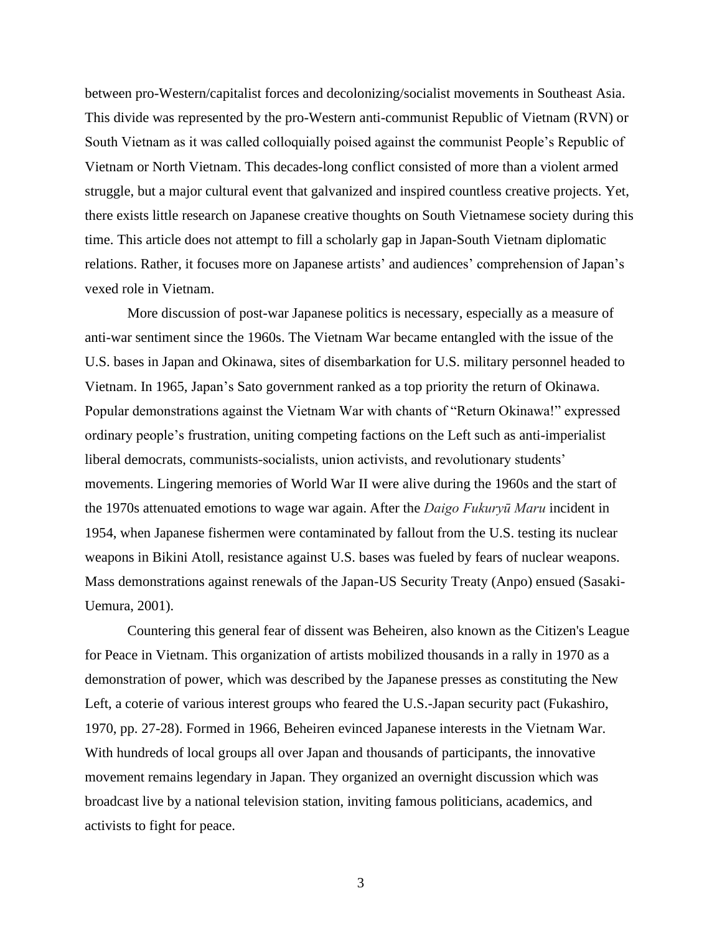between pro-Western/capitalist forces and decolonizing/socialist movements in Southeast Asia. This divide was represented by the pro-Western anti-communist Republic of Vietnam (RVN) or South Vietnam as it was called colloquially poised against the communist People's Republic of Vietnam or North Vietnam. This decades-long conflict consisted of more than a violent armed struggle, but a major cultural event that galvanized and inspired countless creative projects. Yet, there exists little research on Japanese creative thoughts on South Vietnamese society during this time. This article does not attempt to fill a scholarly gap in Japan-South Vietnam diplomatic relations. Rather, it focuses more on Japanese artists' and audiences' comprehension of Japan's vexed role in Vietnam.

More discussion of post-war Japanese politics is necessary, especially as a measure of anti-war sentiment since the 1960s. The Vietnam War became entangled with the issue of the U.S. bases in Japan and Okinawa, sites of disembarkation for U.S. military personnel headed to Vietnam. In 1965, Japan's Sato government ranked as a top priority the return of Okinawa. Popular demonstrations against the Vietnam War with chants of "Return Okinawa!" expressed ordinary people's frustration, uniting competing factions on the Left such as anti-imperialist liberal democrats, communists-socialists, union activists, and revolutionary students' movements. Lingering memories of World War II were alive during the 1960s and the start of the 1970s attenuated emotions to wage war again. After the *Daigo Fukuryū Maru* incident in 1954, when Japanese fishermen were contaminated by fallout from the U.S. testing its nuclear weapons in Bikini Atoll, resistance against U.S. bases was fueled by fears of nuclear weapons. Mass demonstrations against renewals of the Japan-US Security Treaty (Anpo) ensued (Sasaki-Uemura, 2001).

Countering this general fear of dissent was Beheiren, also known as the Citizen's League for Peace in Vietnam. This organization of artists mobilized thousands in a rally in 1970 as a demonstration of power, which was described by the Japanese presses as constituting the New Left, a coterie of various interest groups who feared the U.S.-Japan security pact (Fukashiro, 1970, pp. 27-28). Formed in 1966, Beheiren evinced Japanese interests in the Vietnam War. With hundreds of local groups all over Japan and thousands of participants, the innovative movement remains legendary in Japan. They organized an overnight discussion which was broadcast live by a national television station, inviting famous politicians, academics, and activists to fight for peace.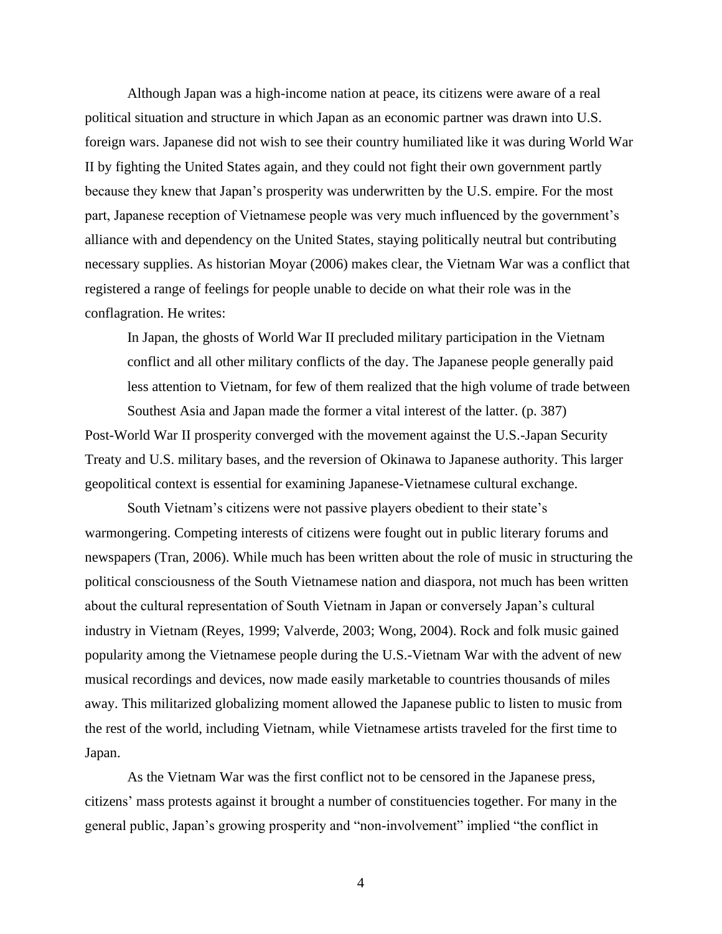Although Japan was a high-income nation at peace, its citizens were aware of a real political situation and structure in which Japan as an economic partner was drawn into U.S. foreign wars. Japanese did not wish to see their country humiliated like it was during World War II by fighting the United States again, and they could not fight their own government partly because they knew that Japan's prosperity was underwritten by the U.S. empire. For the most part, Japanese reception of Vietnamese people was very much influenced by the government's alliance with and dependency on the United States, staying politically neutral but contributing necessary supplies. As historian Moyar (2006) makes clear, the Vietnam War was a conflict that registered a range of feelings for people unable to decide on what their role was in the conflagration. He writes:

In Japan, the ghosts of World War II precluded military participation in the Vietnam conflict and all other military conflicts of the day. The Japanese people generally paid less attention to Vietnam, for few of them realized that the high volume of trade between

Southest Asia and Japan made the former a vital interest of the latter. (p. 387) Post-World War II prosperity converged with the movement against the U.S.-Japan Security Treaty and U.S. military bases, and the reversion of Okinawa to Japanese authority. This larger geopolitical context is essential for examining Japanese-Vietnamese cultural exchange.

South Vietnam's citizens were not passive players obedient to their state's warmongering. Competing interests of citizens were fought out in public literary forums and newspapers (Tran, 2006). While much has been written about the role of music in structuring the political consciousness of the South Vietnamese nation and diaspora, not much has been written about the cultural representation of South Vietnam in Japan or conversely Japan's cultural industry in Vietnam (Reyes, 1999; Valverde, 2003; Wong, 2004). Rock and folk music gained popularity among the Vietnamese people during the U.S.-Vietnam War with the advent of new musical recordings and devices, now made easily marketable to countries thousands of miles away. This militarized globalizing moment allowed the Japanese public to listen to music from the rest of the world, including Vietnam, while Vietnamese artists traveled for the first time to Japan.

As the Vietnam War was the first conflict not to be censored in the Japanese press, citizens' mass protests against it brought a number of constituencies together. For many in the general public, Japan's growing prosperity and "non-involvement" implied "the conflict in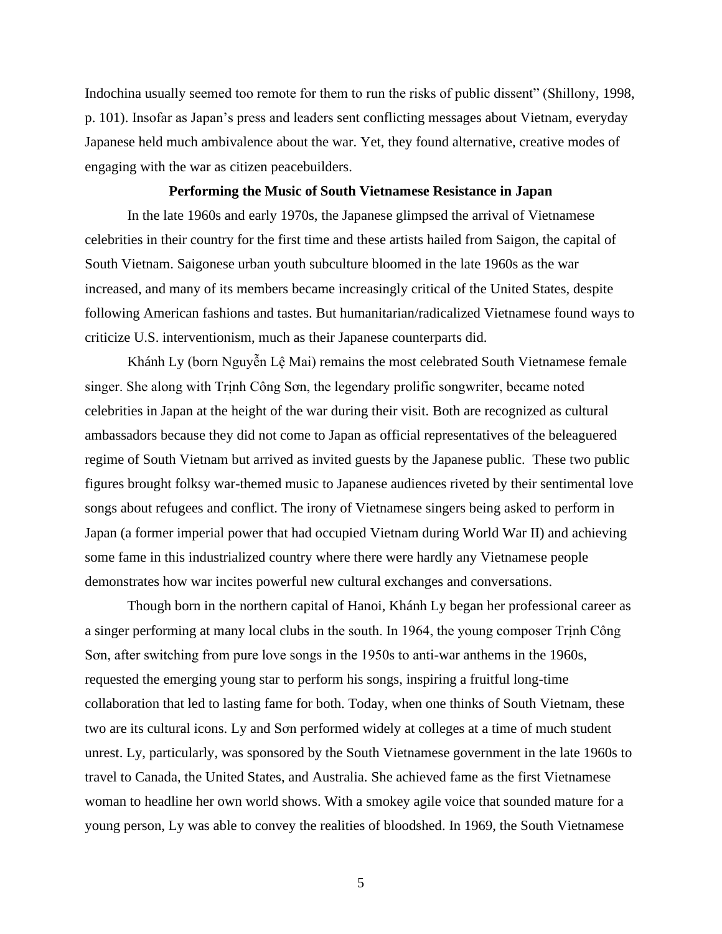Indochina usually seemed too remote for them to run the risks of public dissent" (Shillony, 1998, p. 101). Insofar as Japan's press and leaders sent conflicting messages about Vietnam, everyday Japanese held much ambivalence about the war. Yet, they found alternative, creative modes of engaging with the war as citizen peacebuilders.

#### **Performing the Music of South Vietnamese Resistance in Japan**

In the late 1960s and early 1970s, the Japanese glimpsed the arrival of Vietnamese celebrities in their country for the first time and these artists hailed from Saigon, the capital of South Vietnam. Saigonese urban youth subculture bloomed in the late 1960s as the war increased, and many of its members became increasingly critical of the United States, despite following American fashions and tastes. But humanitarian/radicalized Vietnamese found ways to criticize U.S. interventionism, much as their Japanese counterparts did.

Khánh Ly (born Nguyễn Lệ Mai) remains the most celebrated South Vietnamese female singer. She along with Trịnh Công Sơn, the legendary prolific songwriter, became noted celebrities in Japan at the height of the war during their visit. Both are recognized as cultural ambassadors because they did not come to Japan as official representatives of the beleaguered regime of South Vietnam but arrived as invited guests by the Japanese public. These two public figures brought folksy war-themed music to Japanese audiences riveted by their sentimental love songs about refugees and conflict. The irony of Vietnamese singers being asked to perform in Japan (a former imperial power that had occupied Vietnam during World War II) and achieving some fame in this industrialized country where there were hardly any Vietnamese people demonstrates how war incites powerful new cultural exchanges and conversations.

Though born in the northern capital of Hanoi, Khánh Ly began her professional career as a singer performing at many local clubs in the south. In 1964, the young composer Trịnh Công Sơn, after switching from pure love songs in the 1950s to anti-war anthems in the 1960s, requested the emerging young star to perform his songs, inspiring a fruitful long-time collaboration that led to lasting fame for both. Today, when one thinks of South Vietnam, these two are its cultural icons. Ly and Sơn performed widely at colleges at a time of much student unrest. Ly, particularly, was sponsored by the South Vietnamese government in the late 1960s to travel to Canada, the United States, and Australia. She achieved fame as the first Vietnamese woman to headline her own world shows. With a smokey agile voice that sounded mature for a young person, Ly was able to convey the realities of bloodshed. In 1969, the South Vietnamese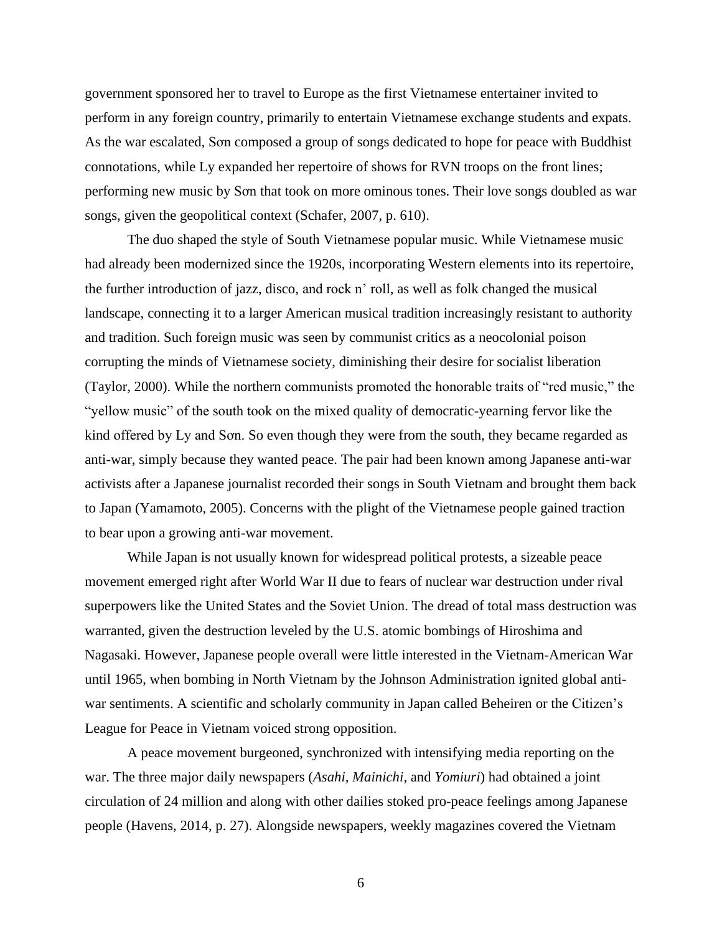government sponsored her to travel to Europe as the first Vietnamese entertainer invited to perform in any foreign country, primarily to entertain Vietnamese exchange students and expats. As the war escalated, Sơn composed a group of songs dedicated to hope for peace with Buddhist connotations, while Ly expanded her repertoire of shows for RVN troops on the front lines; performing new music by Sơn that took on more ominous tones. Their love songs doubled as war songs, given the geopolitical context (Schafer, 2007, p. 610).

The duo shaped the style of South Vietnamese popular music. While Vietnamese music had already been modernized since the 1920s, incorporating Western elements into its repertoire, the further introduction of jazz, disco, and rock n' roll, as well as folk changed the musical landscape, connecting it to a larger American musical tradition increasingly resistant to authority and tradition. Such foreign music was seen by communist critics as a neocolonial poison corrupting the minds of Vietnamese society, diminishing their desire for socialist liberation (Taylor, 2000). While the northern communists promoted the honorable traits of "red music," the "yellow music" of the south took on the mixed quality of democratic-yearning fervor like the kind offered by Ly and Sơn. So even though they were from the south, they became regarded as anti-war, simply because they wanted peace. The pair had been known among Japanese anti-war activists after a Japanese journalist recorded their songs in South Vietnam and brought them back to Japan (Yamamoto, 2005). Concerns with the plight of the Vietnamese people gained traction to bear upon a growing anti-war movement.

While Japan is not usually known for widespread political protests, a sizeable peace movement emerged right after World War II due to fears of nuclear war destruction under rival superpowers like the United States and the Soviet Union. The dread of total mass destruction was warranted, given the destruction leveled by the U.S. atomic bombings of Hiroshima and Nagasaki. However, Japanese people overall were little interested in the Vietnam-American War until 1965, when bombing in North Vietnam by the Johnson Administration ignited global antiwar sentiments. A scientific and scholarly community in Japan called Beheiren or the Citizen's League for Peace in Vietnam voiced strong opposition.

A peace movement burgeoned, synchronized with intensifying media reporting on the war. The three major daily newspapers (*Asahi*, *Mainichi*, and *Yomiuri*) had obtained a joint circulation of 24 million and along with other dailies stoked pro-peace feelings among Japanese people (Havens, 2014, p. 27). Alongside newspapers, weekly magazines covered the Vietnam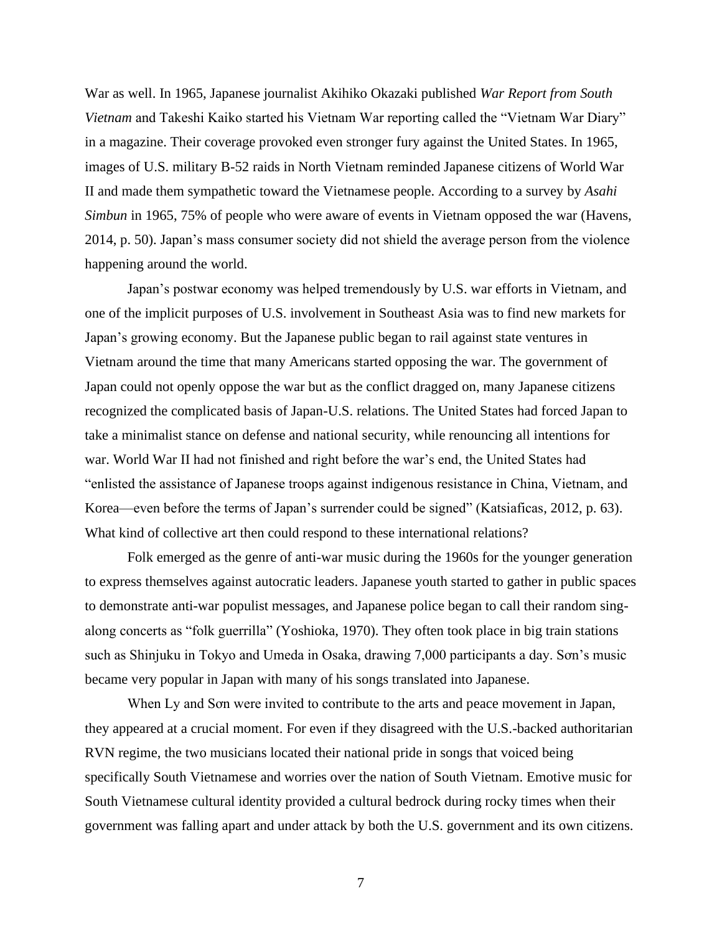War as well. In 1965, Japanese journalist Akihiko Okazaki published *War Report from South Vietnam* and Takeshi Kaiko started his Vietnam War reporting called the "Vietnam War Diary" in a magazine. Their coverage provoked even stronger fury against the United States. In 1965, images of U.S. military B-52 raids in North Vietnam reminded Japanese citizens of World War II and made them sympathetic toward the Vietnamese people. According to a survey by *Asahi Simbun* in 1965, 75% of people who were aware of events in Vietnam opposed the war (Havens, 2014, p. 50). Japan's mass consumer society did not shield the average person from the violence happening around the world.

Japan's postwar economy was helped tremendously by U.S. war efforts in Vietnam, and one of the implicit purposes of U.S. involvement in Southeast Asia was to find new markets for Japan's growing economy. But the Japanese public began to rail against state ventures in Vietnam around the time that many Americans started opposing the war. The government of Japan could not openly oppose the war but as the conflict dragged on, many Japanese citizens recognized the complicated basis of Japan-U.S. relations. The United States had forced Japan to take a minimalist stance on defense and national security, while renouncing all intentions for war. World War II had not finished and right before the war's end, the United States had "enlisted the assistance of Japanese troops against indigenous resistance in China, Vietnam, and Korea—even before the terms of Japan's surrender could be signed" (Katsiaficas, 2012, p. 63). What kind of collective art then could respond to these international relations?

Folk emerged as the genre of anti-war music during the 1960s for the younger generation to express themselves against autocratic leaders. Japanese youth started to gather in public spaces to demonstrate anti-war populist messages, and Japanese police began to call their random singalong concerts as "folk guerrilla" (Yoshioka, 1970). They often took place in big train stations such as Shinjuku in Tokyo and Umeda in Osaka, drawing 7,000 participants a day. Sơn's music became very popular in Japan with many of his songs translated into Japanese.

When Ly and Sơn were invited to contribute to the arts and peace movement in Japan, they appeared at a crucial moment. For even if they disagreed with the U.S.-backed authoritarian RVN regime, the two musicians located their national pride in songs that voiced being specifically South Vietnamese and worries over the nation of South Vietnam. Emotive music for South Vietnamese cultural identity provided a cultural bedrock during rocky times when their government was falling apart and under attack by both the U.S. government and its own citizens.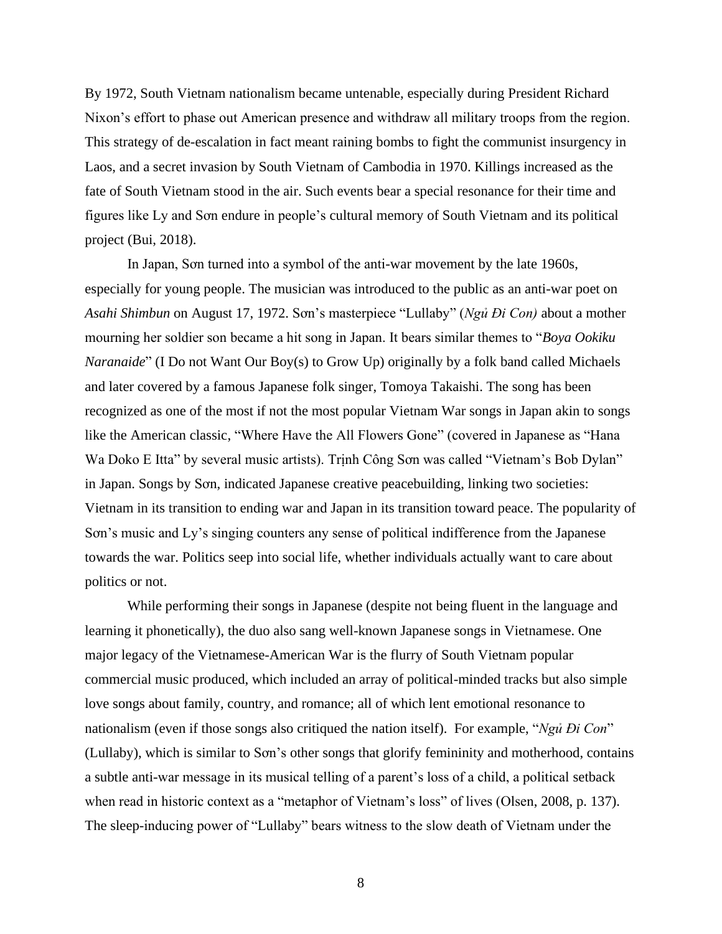By 1972, South Vietnam nationalism became untenable, especially during President Richard Nixon's effort to phase out American presence and withdraw all military troops from the region. This strategy of de-escalation in fact meant raining bombs to fight the communist insurgency in Laos, and a secret invasion by South Vietnam of Cambodia in 1970. Killings increased as the fate of South Vietnam stood in the air. Such events bear a special resonance for their time and figures like Ly and Sơn endure in people's cultural memory of South Vietnam and its political project (Bui, 2018).

In Japan, Sơn turned into a symbol of the anti-war movement by the late 1960s, especially for young people. The musician was introduced to the public as an anti-war poet on *Asahi Shimbun* on August 17, 1972. Sơn's masterpiece "Lullaby" (*Ngủ Đi Con)* about a mother mourning her soldier son became a hit song in Japan. It bears similar themes to "*Boya Ookiku Naranaide*" (I Do not Want Our Boy(s) to Grow Up) originally by a folk band called Michaels and later covered by a famous Japanese folk singer, Tomoya Takaishi. The song has been recognized as one of the most if not the most popular Vietnam War songs in Japan akin to songs like the American classic, "Where Have the All Flowers Gone" (covered in Japanese as "Hana Wa Doko E Itta" by several music artists). Trịnh Công Sơn was called "Vietnam's Bob Dylan" in Japan. Songs by Sơn, indicated Japanese creative peacebuilding, linking two societies: Vietnam in its transition to ending war and Japan in its transition toward peace. The popularity of Sơn's music and Ly's singing counters any sense of political indifference from the Japanese towards the war. Politics seep into social life, whether individuals actually want to care about politics or not.

While performing their songs in Japanese (despite not being fluent in the language and learning it phonetically), the duo also sang well-known Japanese songs in Vietnamese. One major legacy of the Vietnamese-American War is the flurry of South Vietnam popular commercial music produced, which included an array of political-minded tracks but also simple love songs about family, country, and romance; all of which lent emotional resonance to nationalism (even if those songs also critiqued the nation itself). For example, "*Ngủ Đi Con*" (Lullaby), which is similar to Sơn's other songs that glorify femininity and motherhood, contains a subtle anti-war message in its musical telling of a parent's loss of a child, a political setback when read in historic context as a "metaphor of Vietnam's loss" of lives (Olsen, 2008, p. 137). The sleep-inducing power of "Lullaby" bears witness to the slow death of Vietnam under the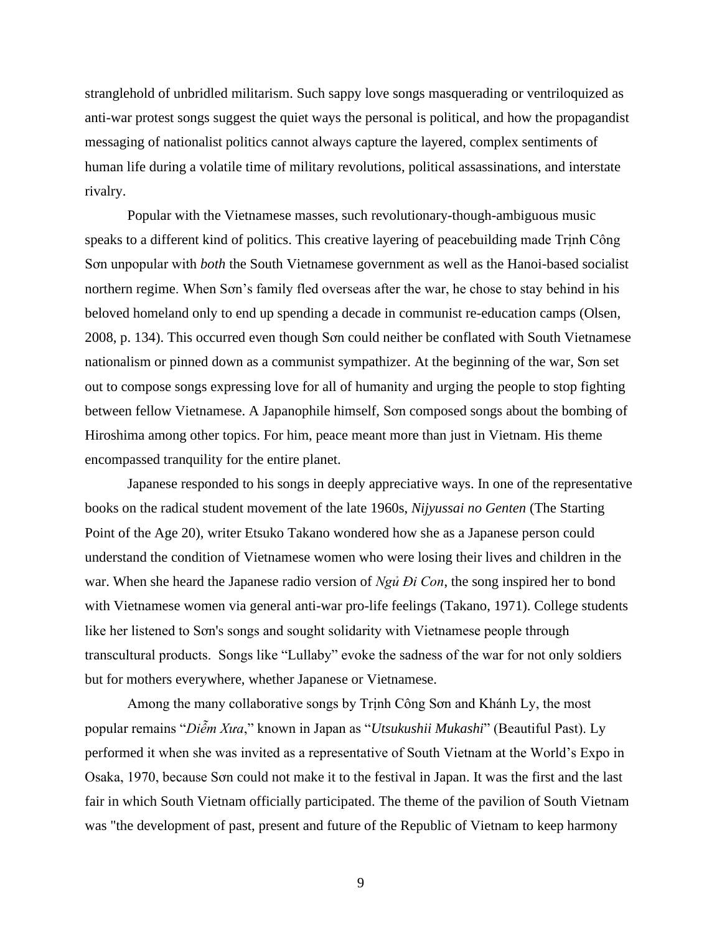stranglehold of unbridled militarism. Such sappy love songs masquerading or ventriloquized as anti-war protest songs suggest the quiet ways the personal is political, and how the propagandist messaging of nationalist politics cannot always capture the layered, complex sentiments of human life during a volatile time of military revolutions, political assassinations, and interstate rivalry.

Popular with the Vietnamese masses, such revolutionary-though-ambiguous music speaks to a different kind of politics. This creative layering of peacebuilding made Trịnh Công Sơn unpopular with *both* the South Vietnamese government as well as the Hanoi-based socialist northern regime. When Sơn's family fled overseas after the war, he chose to stay behind in his beloved homeland only to end up spending a decade in communist re-education camps (Olsen, 2008, p. 134). This occurred even though Sơn could neither be conflated with South Vietnamese nationalism or pinned down as a communist sympathizer. At the beginning of the war, Sơn set out to compose songs expressing love for all of humanity and urging the people to stop fighting between fellow Vietnamese. A Japanophile himself, Sơn composed songs about the bombing of Hiroshima among other topics. For him, peace meant more than just in Vietnam. His theme encompassed tranquility for the entire planet.

Japanese responded to his songs in deeply appreciative ways. In one of the representative books on the radical student movement of the late 1960s, *Nijyussai no Genten* (The Starting Point of the Age 20), writer Etsuko Takano wondered how she as a Japanese person could understand the condition of Vietnamese women who were losing their lives and children in the war. When she heard the Japanese radio version of *Ngủ Đi Con*, the song inspired her to bond with Vietnamese women via general anti-war pro-life feelings (Takano, 1971). College students like her listened to Sơn's songs and sought solidarity with Vietnamese people through transcultural products. Songs like "Lullaby" evoke the sadness of the war for not only soldiers but for mothers everywhere, whether Japanese or Vietnamese.

Among the many collaborative songs by Trịnh Công Sơn and Khánh Ly, the most popular remains "*Diễm Xưa*," known in Japan as "*Utsukushii Mukashi*" (Beautiful Past). Ly performed it when she was invited as a representative of South Vietnam at the World's Expo in Osaka, 1970, because Sơn could not make it to the festival in Japan. It was the first and the last fair in which South Vietnam officially participated. The theme of the pavilion of South Vietnam was "the development of past, present and future of the Republic of Vietnam to keep harmony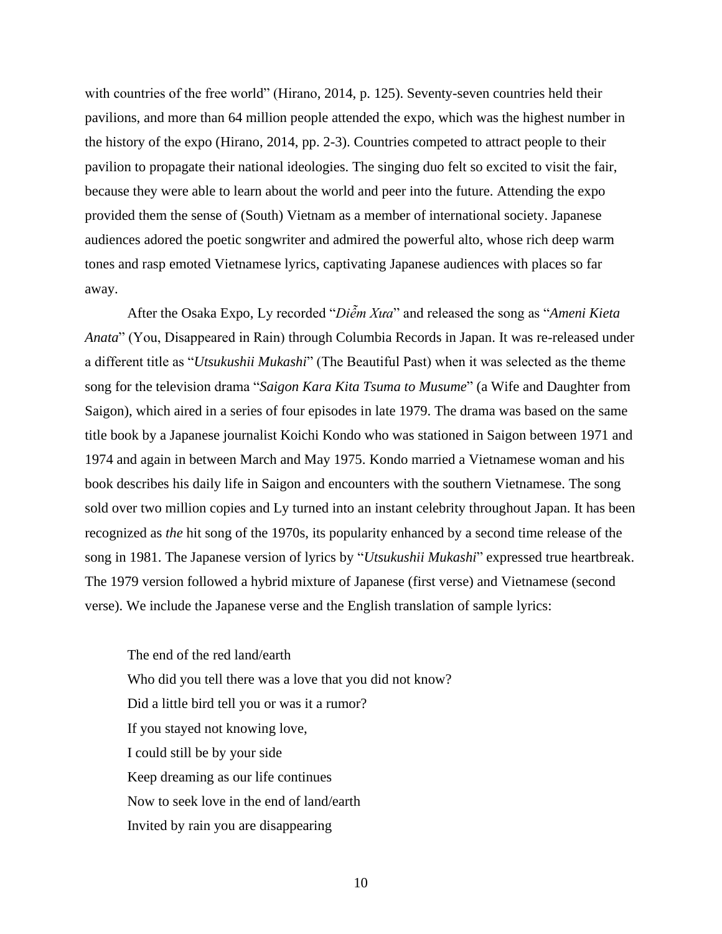with countries of the free world" (Hirano, 2014, p. 125). Seventy-seven countries held their pavilions, and more than 64 million people attended the expo, which was the highest number in the history of the expo (Hirano, 2014, pp. 2-3). Countries competed to attract people to their pavilion to propagate their national ideologies. The singing duo felt so excited to visit the fair, because they were able to learn about the world and peer into the future. Attending the expo provided them the sense of (South) Vietnam as a member of international society. Japanese audiences adored the poetic songwriter and admired the powerful alto, whose rich deep warm tones and rasp emoted Vietnamese lyrics, captivating Japanese audiences with places so far away.

After the Osaka Expo, Ly recorded "*Diễm Xưa*" and released the song as "*Ameni Kieta Anata*" (You, Disappeared in Rain) through Columbia Records in Japan. It was re-released under a different title as "*Utsukushii Mukashi*" (The Beautiful Past) when it was selected as the theme song for the television drama "*Saigon Kara Kita Tsuma to Musume*" (a Wife and Daughter from Saigon), which aired in a series of four episodes in late 1979. The drama was based on the same title book by a Japanese journalist Koichi Kondo who was stationed in Saigon between 1971 and 1974 and again in between March and May 1975. Kondo married a Vietnamese woman and his book describes his daily life in Saigon and encounters with the southern Vietnamese. The song sold over two million copies and Ly turned into an instant celebrity throughout Japan. It has been recognized as *the* hit song of the 1970s, its popularity enhanced by a second time release of the song in 1981. The Japanese version of lyrics by "*Utsukushii Mukashi*" expressed true heartbreak. The 1979 version followed a hybrid mixture of Japanese (first verse) and Vietnamese (second verse). We include the Japanese verse and the English translation of sample lyrics:

The end of the red land/earth Who did you tell there was a love that you did not know? Did a little bird tell you or was it a rumor? If you stayed not knowing love, I could still be by your side Keep dreaming as our life continues Now to seek love in the end of land/earth Invited by rain you are disappearing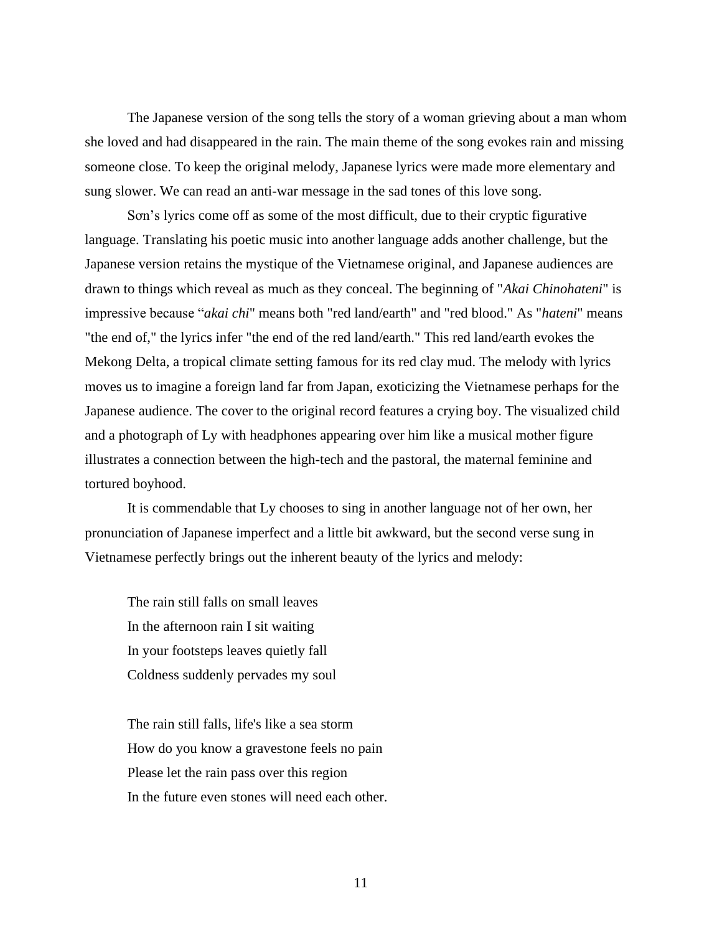The Japanese version of the song tells the story of a woman grieving about a man whom she loved and had disappeared in the rain. The main theme of the song evokes rain and missing someone close. To keep the original melody, Japanese lyrics were made more elementary and sung slower. We can read an anti-war message in the sad tones of this love song.

Sơn's lyrics come off as some of the most difficult, due to their cryptic figurative language. Translating his poetic music into another language adds another challenge, but the Japanese version retains the mystique of the Vietnamese original, and Japanese audiences are drawn to things which reveal as much as they conceal. The beginning of "*Akai Chinohateni*" is impressive because "*akai chi*" means both "red land/earth" and "red blood." As "*hateni*" means "the end of," the lyrics infer "the end of the red land/earth." This red land/earth evokes the Mekong Delta, a tropical climate setting famous for its red clay mud. The melody with lyrics moves us to imagine a foreign land far from Japan, exoticizing the Vietnamese perhaps for the Japanese audience. The cover to the original record features a crying boy. The visualized child and a photograph of Ly with headphones appearing over him like a musical mother figure illustrates a connection between the high-tech and the pastoral, the maternal feminine and tortured boyhood.

It is commendable that Ly chooses to sing in another language not of her own, her pronunciation of Japanese imperfect and a little bit awkward, but the second verse sung in Vietnamese perfectly brings out the inherent beauty of the lyrics and melody:

The rain still falls on small leaves In the afternoon rain I sit waiting In your footsteps leaves quietly fall Coldness suddenly pervades my soul

The rain still falls, life's like a sea storm How do you know a gravestone feels no pain Please let the rain pass over this region In the future even stones will need each other.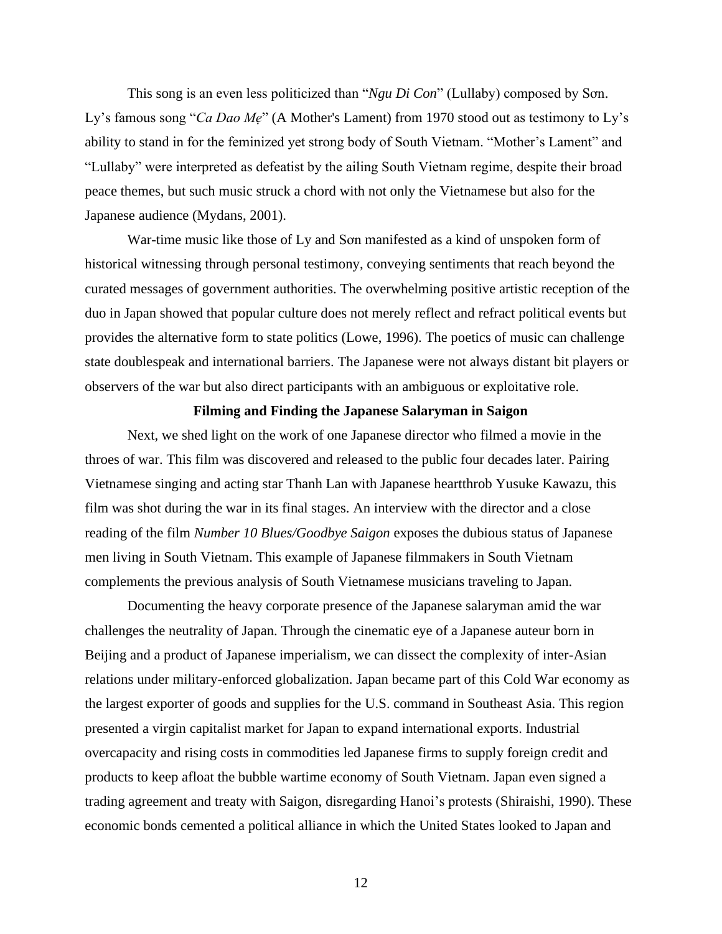This song is an even less politicized than "*Ngu Di Con*" (Lullaby) composed by Sơn. Ly's famous song "*Ca Dao Me*" (A Mother's Lament) from 1970 stood out as testimony to Ly's ability to stand in for the feminized yet strong body of South Vietnam. "Mother's Lament" and "Lullaby" were interpreted as defeatist by the ailing South Vietnam regime, despite their broad peace themes, but such music struck a chord with not only the Vietnamese but also for the Japanese audience (Mydans, 2001).

War-time music like those of Ly and Sơn manifested as a kind of unspoken form of historical witnessing through personal testimony, conveying sentiments that reach beyond the curated messages of government authorities. The overwhelming positive artistic reception of the duo in Japan showed that popular culture does not merely reflect and refract political events but provides the alternative form to state politics (Lowe, 1996). The poetics of music can challenge state doublespeak and international barriers. The Japanese were not always distant bit players or observers of the war but also direct participants with an ambiguous or exploitative role.

#### **Filming and Finding the Japanese Salaryman in Saigon**

Next, we shed light on the work of one Japanese director who filmed a movie in the throes of war. This film was discovered and released to the public four decades later. Pairing Vietnamese singing and acting star Thanh Lan with Japanese heartthrob Yusuke Kawazu, this film was shot during the war in its final stages. An interview with the director and a close reading of the film *Number 10 Blues/Goodbye Saigon* exposes the dubious status of Japanese men living in South Vietnam. This example of Japanese filmmakers in South Vietnam complements the previous analysis of South Vietnamese musicians traveling to Japan.

Documenting the heavy corporate presence of the Japanese salaryman amid the war challenges the neutrality of Japan. Through the cinematic eye of a Japanese auteur born in Beijing and a product of Japanese imperialism, we can dissect the complexity of inter-Asian relations under military-enforced globalization. Japan became part of this Cold War economy as the largest exporter of goods and supplies for the U.S. command in Southeast Asia. This region presented a virgin capitalist market for Japan to expand international exports. Industrial overcapacity and rising costs in commodities led Japanese firms to supply foreign credit and products to keep afloat the bubble wartime economy of South Vietnam. Japan even signed a trading agreement and treaty with Saigon, disregarding Hanoi's protests (Shiraishi, 1990). These economic bonds cemented a political alliance in which the United States looked to Japan and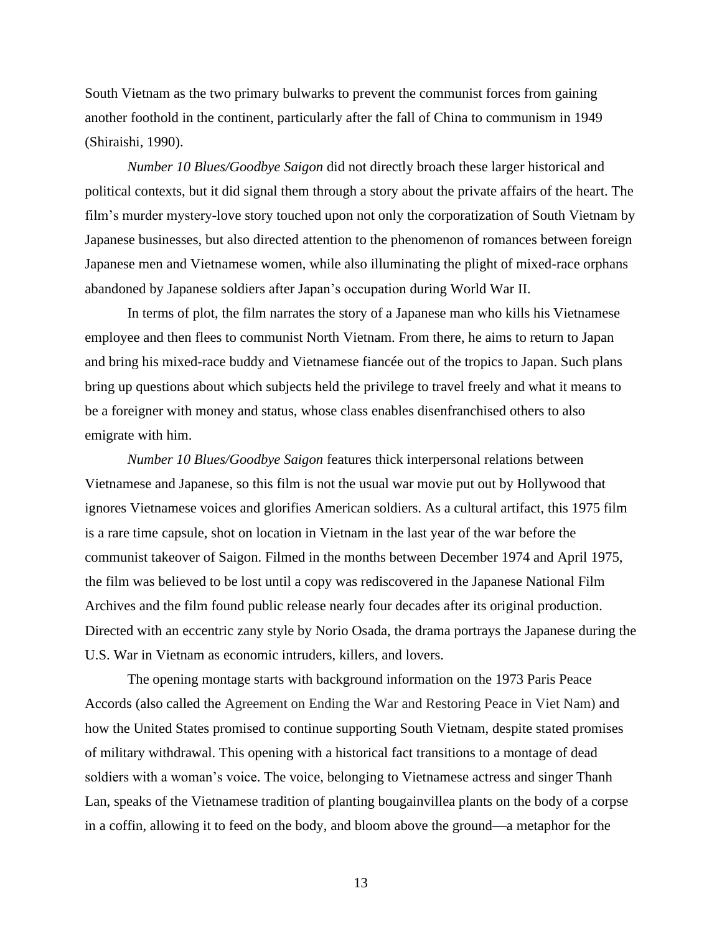South Vietnam as the two primary bulwarks to prevent the communist forces from gaining another foothold in the continent, particularly after the fall of China to communism in 1949 (Shiraishi, 1990).

*Number 10 Blues/Goodbye Saigon* did not directly broach these larger historical and political contexts, but it did signal them through a story about the private affairs of the heart. The film's murder mystery-love story touched upon not only the corporatization of South Vietnam by Japanese businesses, but also directed attention to the phenomenon of romances between foreign Japanese men and Vietnamese women, while also illuminating the plight of mixed-race orphans abandoned by Japanese soldiers after Japan's occupation during World War II.

In terms of plot, the film narrates the story of a Japanese man who kills his Vietnamese employee and then flees to communist North Vietnam. From there, he aims to return to Japan and bring his mixed-race buddy and Vietnamese fiancée out of the tropics to Japan. Such plans bring up questions about which subjects held the privilege to travel freely and what it means to be a foreigner with money and status, whose class enables disenfranchised others to also emigrate with him.

*Number 10 Blues/Goodbye Saigon* features thick interpersonal relations between Vietnamese and Japanese, so this film is not the usual war movie put out by Hollywood that ignores Vietnamese voices and glorifies American soldiers. As a cultural artifact, this 1975 film is a rare time capsule, shot on location in Vietnam in the last year of the war before the communist takeover of Saigon. Filmed in the months between December 1974 and April 1975, the film was believed to be lost until a copy was rediscovered in the Japanese National Film Archives and the film found public release nearly four decades after its original production. Directed with an eccentric zany style by Norio Osada, the drama portrays the Japanese during the U.S. War in Vietnam as economic intruders, killers, and lovers.

The opening montage starts with background information on the 1973 Paris Peace Accords (also called the Agreement on Ending the War and Restoring Peace in Viet Nam) and how the United States promised to continue supporting South Vietnam, despite stated promises of military withdrawal. This opening with a historical fact transitions to a montage of dead soldiers with a woman's voice. The voice, belonging to Vietnamese actress and singer Thanh Lan, speaks of the Vietnamese tradition of planting bougainvillea plants on the body of a corpse in a coffin, allowing it to feed on the body, and bloom above the ground—a metaphor for the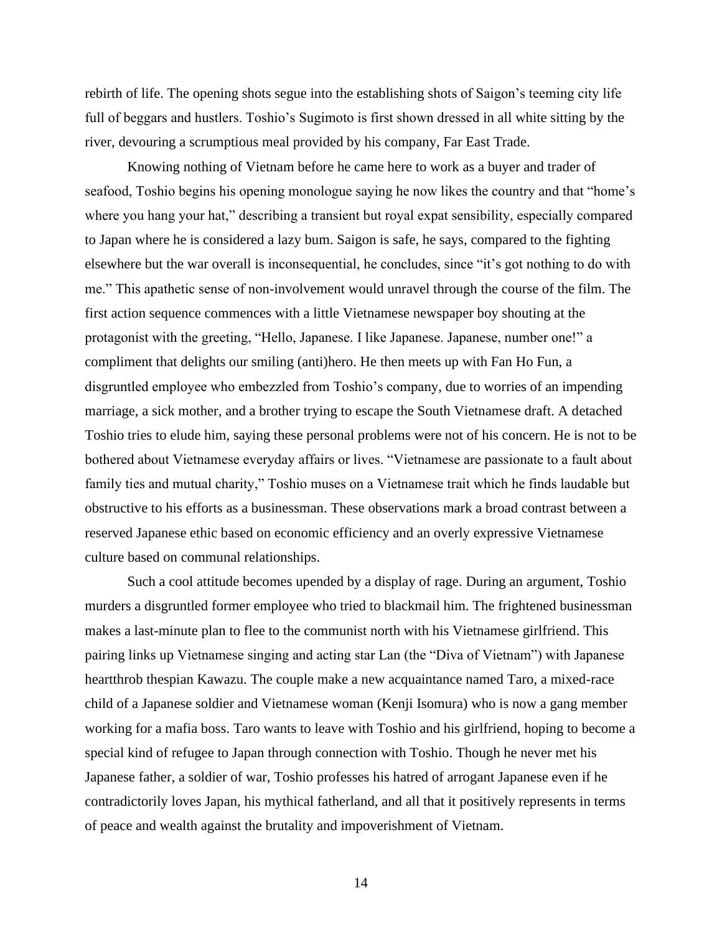rebirth of life. The opening shots segue into the establishing shots of Saigon's teeming city life full of beggars and hustlers. Toshio's Sugimoto is first shown dressed in all white sitting by the river, devouring a scrumptious meal provided by his company, Far East Trade.

Knowing nothing of Vietnam before he came here to work as a buyer and trader of seafood, Toshio begins his opening monologue saying he now likes the country and that "home's where you hang your hat," describing a transient but royal expat sensibility, especially compared to Japan where he is considered a lazy bum. Saigon is safe, he says, compared to the fighting elsewhere but the war overall is inconsequential, he concludes, since "it's got nothing to do with me." This apathetic sense of non-involvement would unravel through the course of the film. The first action sequence commences with a little Vietnamese newspaper boy shouting at the protagonist with the greeting, "Hello, Japanese. I like Japanese. Japanese, number one!" a compliment that delights our smiling (anti)hero. He then meets up with Fan Ho Fun, a disgruntled employee who embezzled from Toshio's company, due to worries of an impending marriage, a sick mother, and a brother trying to escape the South Vietnamese draft. A detached Toshio tries to elude him, saying these personal problems were not of his concern. He is not to be bothered about Vietnamese everyday affairs or lives. "Vietnamese are passionate to a fault about family ties and mutual charity," Toshio muses on a Vietnamese trait which he finds laudable but obstructive to his efforts as a businessman. These observations mark a broad contrast between a reserved Japanese ethic based on economic efficiency and an overly expressive Vietnamese culture based on communal relationships.

Such a cool attitude becomes upended by a display of rage. During an argument, Toshio murders a disgruntled former employee who tried to blackmail him. The frightened businessman makes a last-minute plan to flee to the communist north with his Vietnamese girlfriend. This pairing links up Vietnamese singing and acting star Lan (the "Diva of Vietnam") with Japanese heartthrob thespian Kawazu. The couple make a new acquaintance named Taro, a mixed-race child of a Japanese soldier and Vietnamese woman (Kenji Isomura) who is now a gang member working for a mafia boss. Taro wants to leave with Toshio and his girlfriend, hoping to become a special kind of refugee to Japan through connection with Toshio. Though he never met his Japanese father, a soldier of war, Toshio professes his hatred of arrogant Japanese even if he contradictorily loves Japan, his mythical fatherland, and all that it positively represents in terms of peace and wealth against the brutality and impoverishment of Vietnam.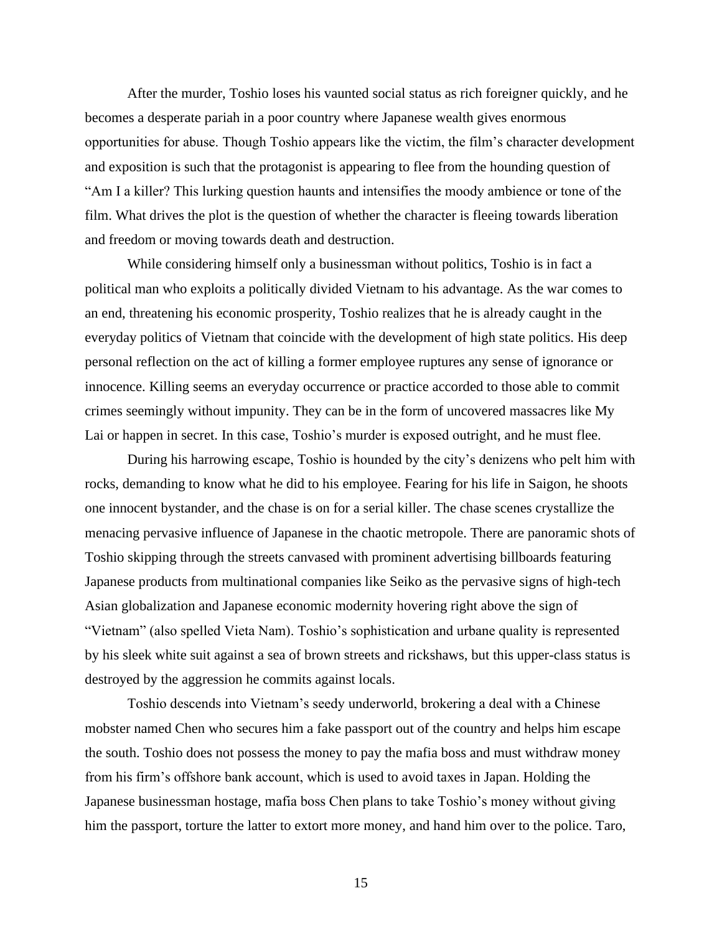After the murder, Toshio loses his vaunted social status as rich foreigner quickly, and he becomes a desperate pariah in a poor country where Japanese wealth gives enormous opportunities for abuse. Though Toshio appears like the victim, the film's character development and exposition is such that the protagonist is appearing to flee from the hounding question of "Am I a killer? This lurking question haunts and intensifies the moody ambience or tone of the film. What drives the plot is the question of whether the character is fleeing towards liberation and freedom or moving towards death and destruction.

While considering himself only a businessman without politics, Toshio is in fact a political man who exploits a politically divided Vietnam to his advantage. As the war comes to an end, threatening his economic prosperity, Toshio realizes that he is already caught in the everyday politics of Vietnam that coincide with the development of high state politics. His deep personal reflection on the act of killing a former employee ruptures any sense of ignorance or innocence. Killing seems an everyday occurrence or practice accorded to those able to commit crimes seemingly without impunity. They can be in the form of uncovered massacres like My Lai or happen in secret. In this case, Toshio's murder is exposed outright, and he must flee.

During his harrowing escape, Toshio is hounded by the city's denizens who pelt him with rocks, demanding to know what he did to his employee. Fearing for his life in Saigon, he shoots one innocent bystander, and the chase is on for a serial killer. The chase scenes crystallize the menacing pervasive influence of Japanese in the chaotic metropole. There are panoramic shots of Toshio skipping through the streets canvased with prominent advertising billboards featuring Japanese products from multinational companies like Seiko as the pervasive signs of high-tech Asian globalization and Japanese economic modernity hovering right above the sign of "Vietnam" (also spelled Vieta Nam). Toshio's sophistication and urbane quality is represented by his sleek white suit against a sea of brown streets and rickshaws, but this upper-class status is destroyed by the aggression he commits against locals.

Toshio descends into Vietnam's seedy underworld, brokering a deal with a Chinese mobster named Chen who secures him a fake passport out of the country and helps him escape the south. Toshio does not possess the money to pay the mafia boss and must withdraw money from his firm's offshore bank account, which is used to avoid taxes in Japan. Holding the Japanese businessman hostage, mafia boss Chen plans to take Toshio's money without giving him the passport, torture the latter to extort more money, and hand him over to the police. Taro,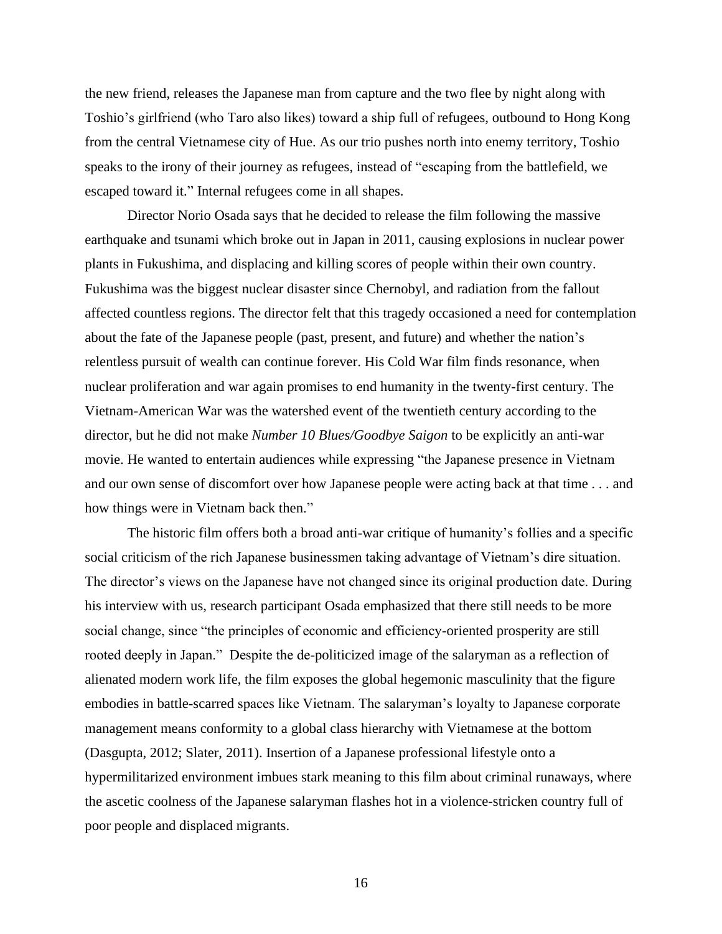the new friend, releases the Japanese man from capture and the two flee by night along with Toshio's girlfriend (who Taro also likes) toward a ship full of refugees, outbound to Hong Kong from the central Vietnamese city of Hue. As our trio pushes north into enemy territory, Toshio speaks to the irony of their journey as refugees, instead of "escaping from the battlefield, we escaped toward it." Internal refugees come in all shapes.

Director Norio Osada says that he decided to release the film following the massive earthquake and tsunami which broke out in Japan in 2011, causing explosions in nuclear power plants in Fukushima, and displacing and killing scores of people within their own country. Fukushima was the biggest nuclear disaster since Chernobyl, and radiation from the fallout affected countless regions. The director felt that this tragedy occasioned a need for contemplation about the fate of the Japanese people (past, present, and future) and whether the nation's relentless pursuit of wealth can continue forever. His Cold War film finds resonance, when nuclear proliferation and war again promises to end humanity in the twenty-first century. The Vietnam-American War was the watershed event of the twentieth century according to the director, but he did not make *Number 10 Blues/Goodbye Saigon* to be explicitly an anti-war movie. He wanted to entertain audiences while expressing "the Japanese presence in Vietnam and our own sense of discomfort over how Japanese people were acting back at that time . . . and how things were in Vietnam back then."

The historic film offers both a broad anti-war critique of humanity's follies and a specific social criticism of the rich Japanese businessmen taking advantage of Vietnam's dire situation. The director's views on the Japanese have not changed since its original production date. During his interview with us, research participant Osada emphasized that there still needs to be more social change, since "the principles of economic and efficiency-oriented prosperity are still rooted deeply in Japan." Despite the de-politicized image of the salaryman as a reflection of alienated modern work life, the film exposes the global hegemonic masculinity that the figure embodies in battle-scarred spaces like Vietnam. The salaryman's loyalty to Japanese corporate management means conformity to a global class hierarchy with Vietnamese at the bottom (Dasgupta, 2012; Slater, 2011). Insertion of a Japanese professional lifestyle onto a hypermilitarized environment imbues stark meaning to this film about criminal runaways, where the ascetic coolness of the Japanese salaryman flashes hot in a violence-stricken country full of poor people and displaced migrants.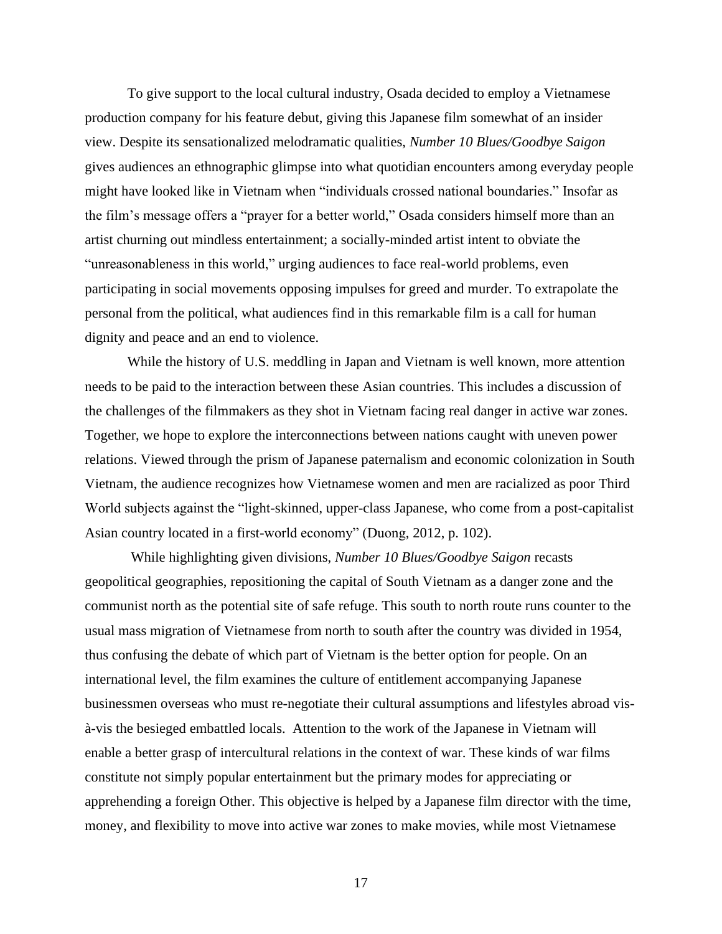To give support to the local cultural industry, Osada decided to employ a Vietnamese production company for his feature debut, giving this Japanese film somewhat of an insider view. Despite its sensationalized melodramatic qualities, *Number 10 Blues/Goodbye Saigon* gives audiences an ethnographic glimpse into what quotidian encounters among everyday people might have looked like in Vietnam when "individuals crossed national boundaries." Insofar as the film's message offers a "prayer for a better world," Osada considers himself more than an artist churning out mindless entertainment; a socially-minded artist intent to obviate the "unreasonableness in this world," urging audiences to face real-world problems, even participating in social movements opposing impulses for greed and murder. To extrapolate the personal from the political, what audiences find in this remarkable film is a call for human dignity and peace and an end to violence.

While the history of U.S. meddling in Japan and Vietnam is well known, more attention needs to be paid to the interaction between these Asian countries. This includes a discussion of the challenges of the filmmakers as they shot in Vietnam facing real danger in active war zones. Together, we hope to explore the interconnections between nations caught with uneven power relations. Viewed through the prism of Japanese paternalism and economic colonization in South Vietnam, the audience recognizes how Vietnamese women and men are racialized as poor Third World subjects against the "light-skinned, upper-class Japanese, who come from a post-capitalist Asian country located in a first-world economy" (Duong, 2012, p. 102).

While highlighting given divisions, *Number 10 Blues/Goodbye Saigon* recasts geopolitical geographies, repositioning the capital of South Vietnam as a danger zone and the communist north as the potential site of safe refuge. This south to north route runs counter to the usual mass migration of Vietnamese from north to south after the country was divided in 1954, thus confusing the debate of which part of Vietnam is the better option for people. On an international level, the film examines the culture of entitlement accompanying Japanese businessmen overseas who must re-negotiate their cultural assumptions and lifestyles abroad visà-vis the besieged embattled locals. Attention to the work of the Japanese in Vietnam will enable a better grasp of intercultural relations in the context of war. These kinds of war films constitute not simply popular entertainment but the primary modes for appreciating or apprehending a foreign Other. This objective is helped by a Japanese film director with the time, money, and flexibility to move into active war zones to make movies, while most Vietnamese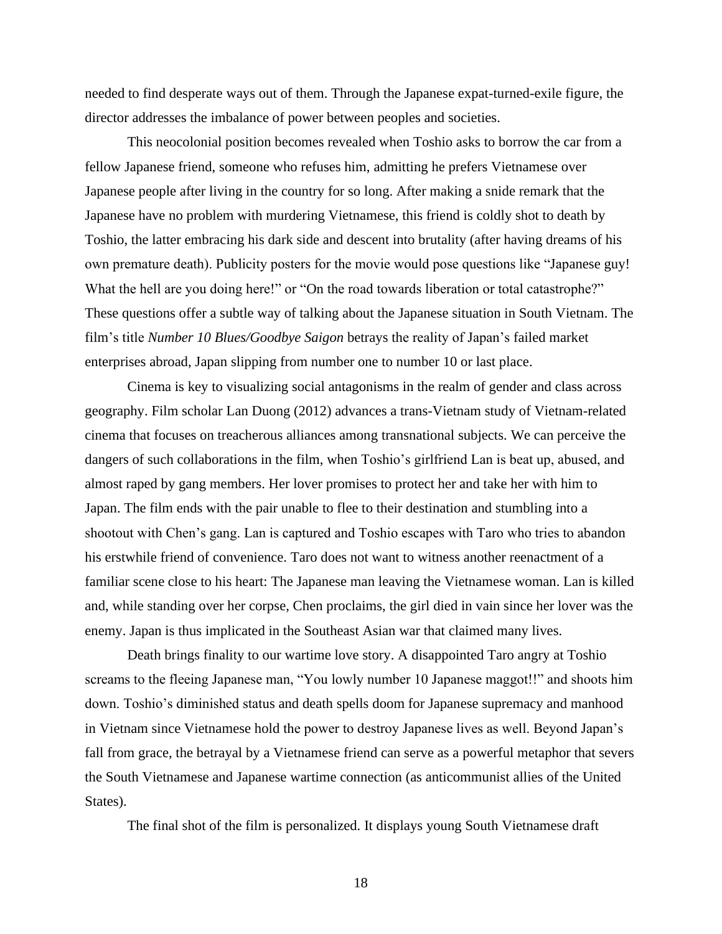needed to find desperate ways out of them. Through the Japanese expat-turned-exile figure, the director addresses the imbalance of power between peoples and societies.

This neocolonial position becomes revealed when Toshio asks to borrow the car from a fellow Japanese friend, someone who refuses him, admitting he prefers Vietnamese over Japanese people after living in the country for so long. After making a snide remark that the Japanese have no problem with murdering Vietnamese, this friend is coldly shot to death by Toshio, the latter embracing his dark side and descent into brutality (after having dreams of his own premature death). Publicity posters for the movie would pose questions like "Japanese guy! What the hell are you doing here!" or "On the road towards liberation or total catastrophe?" These questions offer a subtle way of talking about the Japanese situation in South Vietnam. The film's title *Number 10 Blues/Goodbye Saigon* betrays the reality of Japan's failed market enterprises abroad, Japan slipping from number one to number 10 or last place.

Cinema is key to visualizing social antagonisms in the realm of gender and class across geography. Film scholar Lan Duong (2012) advances a trans-Vietnam study of Vietnam-related cinema that focuses on treacherous alliances among transnational subjects. We can perceive the dangers of such collaborations in the film, when Toshio's girlfriend Lan is beat up, abused, and almost raped by gang members. Her lover promises to protect her and take her with him to Japan. The film ends with the pair unable to flee to their destination and stumbling into a shootout with Chen's gang. Lan is captured and Toshio escapes with Taro who tries to abandon his erstwhile friend of convenience. Taro does not want to witness another reenactment of a familiar scene close to his heart: The Japanese man leaving the Vietnamese woman. Lan is killed and, while standing over her corpse, Chen proclaims, the girl died in vain since her lover was the enemy. Japan is thus implicated in the Southeast Asian war that claimed many lives.

Death brings finality to our wartime love story. A disappointed Taro angry at Toshio screams to the fleeing Japanese man, "You lowly number 10 Japanese maggot!!" and shoots him down. Toshio's diminished status and death spells doom for Japanese supremacy and manhood in Vietnam since Vietnamese hold the power to destroy Japanese lives as well. Beyond Japan's fall from grace, the betrayal by a Vietnamese friend can serve as a powerful metaphor that severs the South Vietnamese and Japanese wartime connection (as anticommunist allies of the United States).

The final shot of the film is personalized. It displays young South Vietnamese draft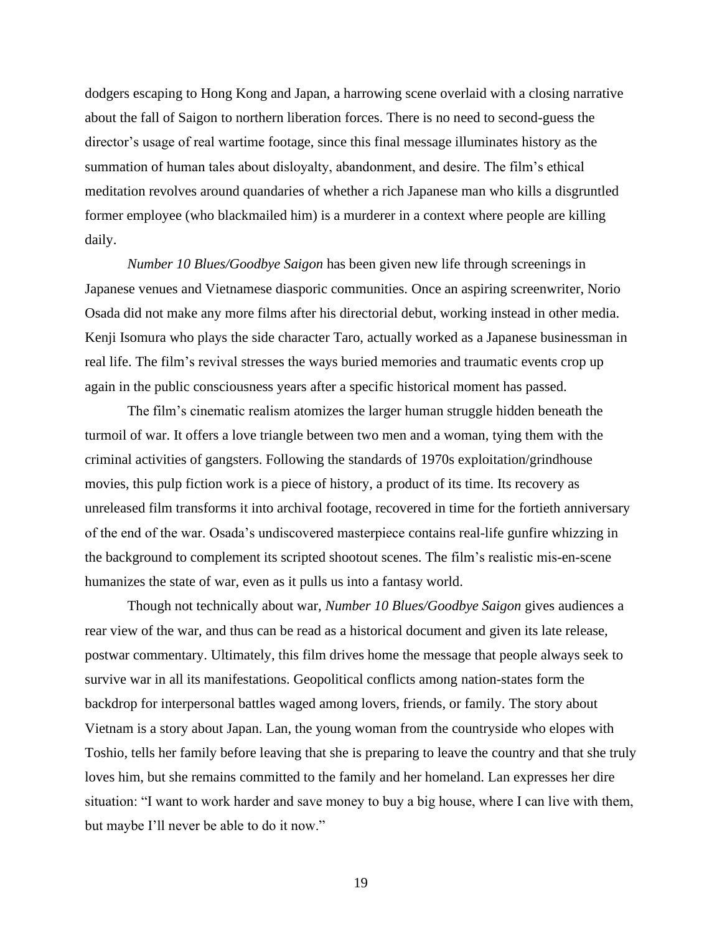dodgers escaping to Hong Kong and Japan, a harrowing scene overlaid with a closing narrative about the fall of Saigon to northern liberation forces. There is no need to second-guess the director's usage of real wartime footage, since this final message illuminates history as the summation of human tales about disloyalty, abandonment, and desire. The film's ethical meditation revolves around quandaries of whether a rich Japanese man who kills a disgruntled former employee (who blackmailed him) is a murderer in a context where people are killing daily.

*Number 10 Blues/Goodbye Saigon* has been given new life through screenings in Japanese venues and Vietnamese diasporic communities. Once an aspiring screenwriter, Norio Osada did not make any more films after his directorial debut, working instead in other media. Kenji Isomura who plays the side character Taro, actually worked as a Japanese businessman in real life. The film's revival stresses the ways buried memories and traumatic events crop up again in the public consciousness years after a specific historical moment has passed.

The film's cinematic realism atomizes the larger human struggle hidden beneath the turmoil of war. It offers a love triangle between two men and a woman, tying them with the criminal activities of gangsters. Following the standards of 1970s exploitation/grindhouse movies, this pulp fiction work is a piece of history, a product of its time. Its recovery as unreleased film transforms it into archival footage, recovered in time for the fortieth anniversary of the end of the war. Osada's undiscovered masterpiece contains real-life gunfire whizzing in the background to complement its scripted shootout scenes. The film's realistic mis-en-scene humanizes the state of war, even as it pulls us into a fantasy world.

Though not technically about war, *Number 10 Blues/Goodbye Saigon* gives audiences a rear view of the war, and thus can be read as a historical document and given its late release, postwar commentary. Ultimately, this film drives home the message that people always seek to survive war in all its manifestations. Geopolitical conflicts among nation-states form the backdrop for interpersonal battles waged among lovers, friends, or family. The story about Vietnam is a story about Japan. Lan, the young woman from the countryside who elopes with Toshio, tells her family before leaving that she is preparing to leave the country and that she truly loves him, but she remains committed to the family and her homeland. Lan expresses her dire situation: "I want to work harder and save money to buy a big house, where I can live with them, but maybe I'll never be able to do it now."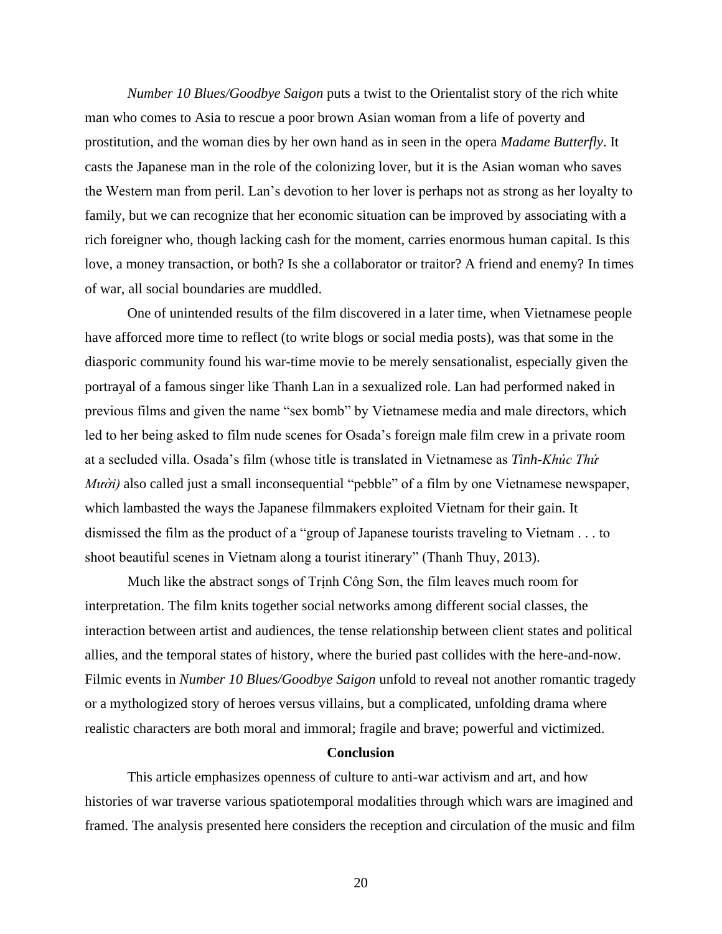*Number 10 Blues/Goodbye Saigon* puts a twist to the Orientalist story of the rich white man who comes to Asia to rescue a poor brown Asian woman from a life of poverty and prostitution, and the woman dies by her own hand as in seen in the opera *Madame Butterfly*. It casts the Japanese man in the role of the colonizing lover, but it is the Asian woman who saves the Western man from peril. Lan's devotion to her lover is perhaps not as strong as her loyalty to family, but we can recognize that her economic situation can be improved by associating with a rich foreigner who, though lacking cash for the moment, carries enormous human capital. Is this love, a money transaction, or both? Is she a collaborator or traitor? A friend and enemy? In times of war, all social boundaries are muddled.

One of unintended results of the film discovered in a later time, when Vietnamese people have afforced more time to reflect (to write blogs or social media posts), was that some in the diasporic community found his war-time movie to be merely sensationalist, especially given the portrayal of a famous singer like Thanh Lan in a sexualized role. Lan had performed naked in previous films and given the name "sex bomb" by Vietnamese media and male directors, which led to her being asked to film nude scenes for Osada's foreign male film crew in a private room at a secluded villa. Osada's film (whose title is translated in Vietnamese as *Tình-Khúc Thứ Mười*) also called just a small inconsequential "pebble" of a film by one Vietnamese newspaper, which lambasted the ways the Japanese filmmakers exploited Vietnam for their gain. It dismissed the film as the product of a "group of Japanese tourists traveling to Vietnam . . . to shoot beautiful scenes in Vietnam along a tourist itinerary" (Thanh Thuy, 2013).

Much like the abstract songs of Trịnh Công Sơn, the film leaves much room for interpretation. The film knits together social networks among different social classes, the interaction between artist and audiences, the tense relationship between client states and political allies, and the temporal states of history, where the buried past collides with the here-and-now. Filmic events in *Number 10 Blues/Goodbye Saigon* unfold to reveal not another romantic tragedy or a mythologized story of heroes versus villains, but a complicated, unfolding drama where realistic characters are both moral and immoral; fragile and brave; powerful and victimized.

#### **Conclusion**

This article emphasizes openness of culture to anti-war activism and art, and how histories of war traverse various spatiotemporal modalities through which wars are imagined and framed. The analysis presented here considers the reception and circulation of the music and film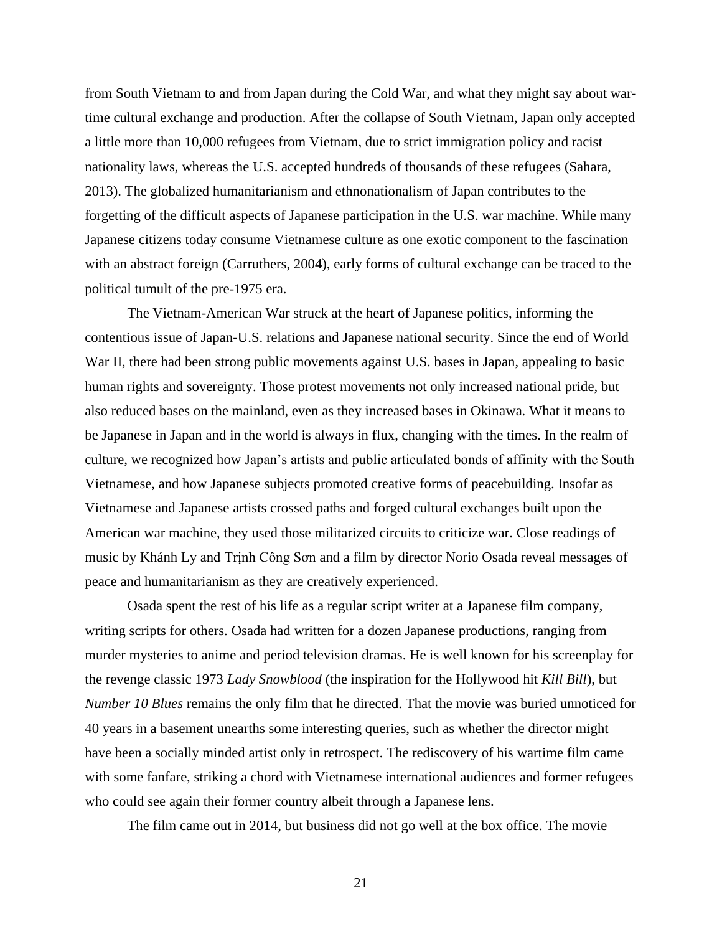from South Vietnam to and from Japan during the Cold War, and what they might say about wartime cultural exchange and production. After the collapse of South Vietnam, Japan only accepted a little more than 10,000 refugees from Vietnam, due to strict immigration policy and racist nationality laws, whereas the U.S. accepted hundreds of thousands of these refugees (Sahara, 2013). The globalized humanitarianism and ethnonationalism of Japan contributes to the forgetting of the difficult aspects of Japanese participation in the U.S. war machine. While many Japanese citizens today consume Vietnamese culture as one exotic component to the fascination with an abstract foreign (Carruthers, 2004), early forms of cultural exchange can be traced to the political tumult of the pre-1975 era.

The Vietnam-American War struck at the heart of Japanese politics, informing the contentious issue of Japan-U.S. relations and Japanese national security. Since the end of World War II, there had been strong public movements against U.S. bases in Japan, appealing to basic human rights and sovereignty. Those protest movements not only increased national pride, but also reduced bases on the mainland, even as they increased bases in Okinawa. What it means to be Japanese in Japan and in the world is always in flux, changing with the times. In the realm of culture, we recognized how Japan's artists and public articulated bonds of affinity with the South Vietnamese, and how Japanese subjects promoted creative forms of peacebuilding. Insofar as Vietnamese and Japanese artists crossed paths and forged cultural exchanges built upon the American war machine, they used those militarized circuits to criticize war. Close readings of music by Khánh Ly and Trịnh Công Sơn and a film by director Norio Osada reveal messages of peace and humanitarianism as they are creatively experienced.

Osada spent the rest of his life as a regular script writer at a Japanese film company, writing scripts for others. Osada had written for a dozen Japanese productions, ranging from murder mysteries to anime and period television dramas. He is well known for his screenplay for the revenge classic 1973 *Lady Snowblood* (the inspiration for the Hollywood hit *Kill Bill*), but *Number 10 Blues* remains the only film that he directed. That the movie was buried unnoticed for 40 years in a basement unearths some interesting queries, such as whether the director might have been a socially minded artist only in retrospect. The rediscovery of his wartime film came with some fanfare, striking a chord with Vietnamese international audiences and former refugees who could see again their former country albeit through a Japanese lens.

The film came out in 2014, but business did not go well at the box office. The movie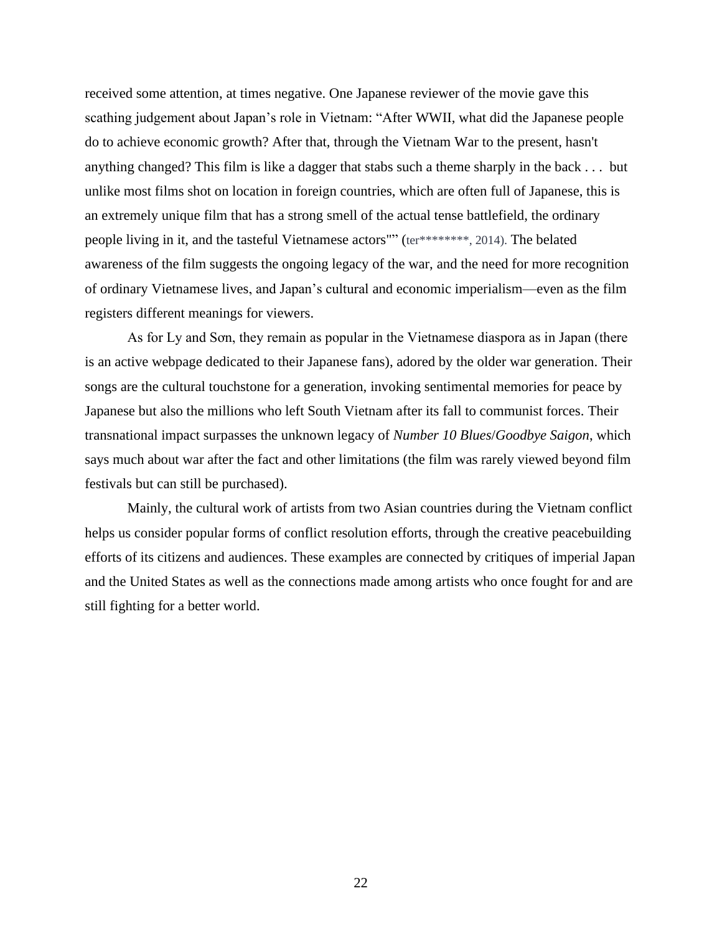received some attention, at times negative. One Japanese reviewer of the movie gave this scathing judgement about Japan's role in Vietnam: "After WWII, what did the Japanese people do to achieve economic growth? After that, through the Vietnam War to the present, hasn't anything changed? This film is like a dagger that stabs such a theme sharply in the back . . . but unlike most films shot on location in foreign countries, which are often full of Japanese, this is an extremely unique film that has a strong smell of the actual tense battlefield, the ordinary people living in it, and the tasteful Vietnamese actors"" (ter\*\*\*\*\*\*\*\*, 2014). The belated awareness of the film suggests the ongoing legacy of the war, and the need for more recognition of ordinary Vietnamese lives, and Japan's cultural and economic imperialism—even as the film registers different meanings for viewers.

As for Ly and Sơn, they remain as popular in the Vietnamese diaspora as in Japan (there is an active webpage dedicated to their Japanese fans), adored by the older war generation. Their songs are the cultural touchstone for a generation, invoking sentimental memories for peace by Japanese but also the millions who left South Vietnam after its fall to communist forces. Their transnational impact surpasses the unknown legacy of *Number 10 Blues*/*Goodbye Saigon*, which says much about war after the fact and other limitations (the film was rarely viewed beyond film festivals but can still be purchased).

Mainly, the cultural work of artists from two Asian countries during the Vietnam conflict helps us consider popular forms of conflict resolution efforts, through the creative peacebuilding efforts of its citizens and audiences. These examples are connected by critiques of imperial Japan and the United States as well as the connections made among artists who once fought for and are still fighting for a better world.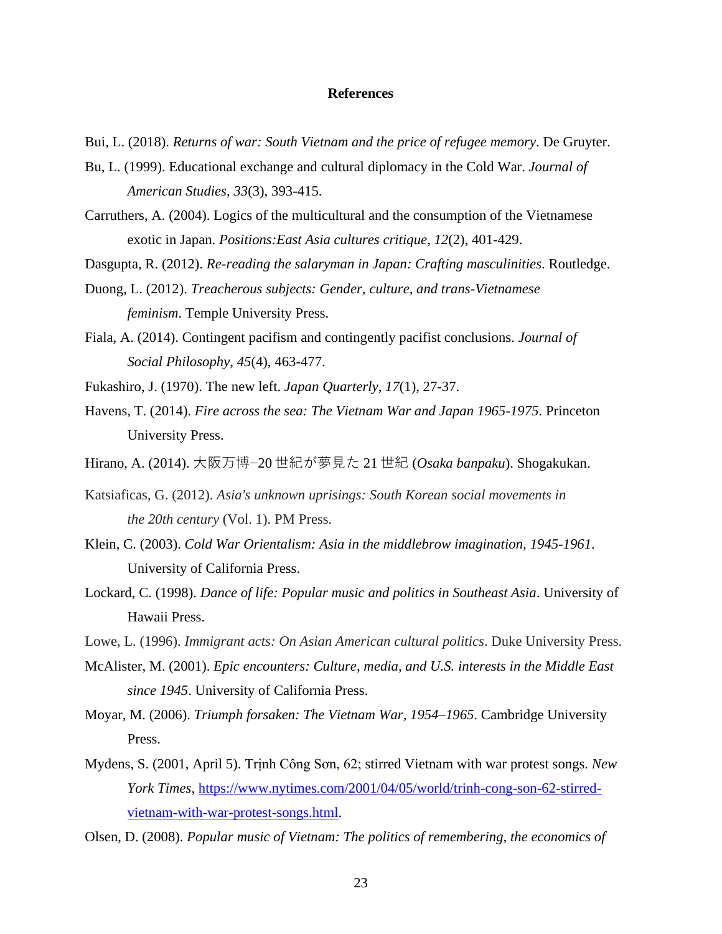#### **References**

- Bui, L. (2018). *Returns of war: South Vietnam and the price of refugee memory*. De Gruyter.
- Bu, L. (1999). Educational exchange and cultural diplomacy in the Cold War. *Journal of American Studies*, *33*(3), 393-415.
- Carruthers, A. (2004). Logics of the multicultural and the consumption of the Vietnamese exotic in Japan. *Positions:East Asia cultures critique*, *12*(2), 401-429.
- Dasgupta, R. (2012). *Re-reading the salaryman in Japan: Crafting masculinities*. Routledge.
- Duong, L. (2012). *Treacherous subjects: Gender, culture, and trans-Vietnamese feminism*. Temple University Press.
- Fiala, A. (2014). Contingent pacifism and contingently pacifist conclusions. *Journal of Social Philosophy*, *45*(4), 463-477.
- Fukashiro, J. (1970). The new left. *Japan Quarterly*, *17*(1), 27-37.
- Havens, T. (2014). *Fire across the sea: The Vietnam War and Japan 1965-1975*. Princeton University Press.
- Hirano, A. (2014). 大阪万博−20 世紀が夢見た 21 世紀 (*Osaka banpaku*). Shogakukan.
- Katsiaficas, G. (2012). *Asia's unknown uprisings: South Korean social movements in the 20th century* (Vol. 1). PM Press.
- Klein, C. (2003). *Cold War Orientalism: Asia in the middlebrow imagination, 1945-1961*. University of California Press.
- Lockard, C. (1998). *Dance of life: Popular music and politics in Southeast Asia*. University of Hawaii Press.
- Lowe, L. (1996). *Immigrant acts: On Asian American cultural politics*. Duke University Press.
- McAlister, M. (2001). *Epic encounters: Culture, media, and U.S. interests in the Middle East since 1945*. University of California Press.
- Moyar, M. (2006). *Triumph forsaken: The Vietnam War, 1954–1965*. Cambridge University Press.
- Mydens, S. (2001, April 5). Trịnh Công Sơn, 62; stirred Vietnam with war protest songs. *New York Times*, [https://www.nytimes.com/2001/04/05/world/trinh-cong-son-62-stirred](https://www.nytimes.com/2001/04/05/world/trinh-cong-son-62-stirred-vietnam-with-war-protest-songs.html)[vietnam-with-war-protest-songs.html.](https://www.nytimes.com/2001/04/05/world/trinh-cong-son-62-stirred-vietnam-with-war-protest-songs.html)
- Olsen, D. (2008). *Popular music of Vietnam: The politics of remembering, the economics of*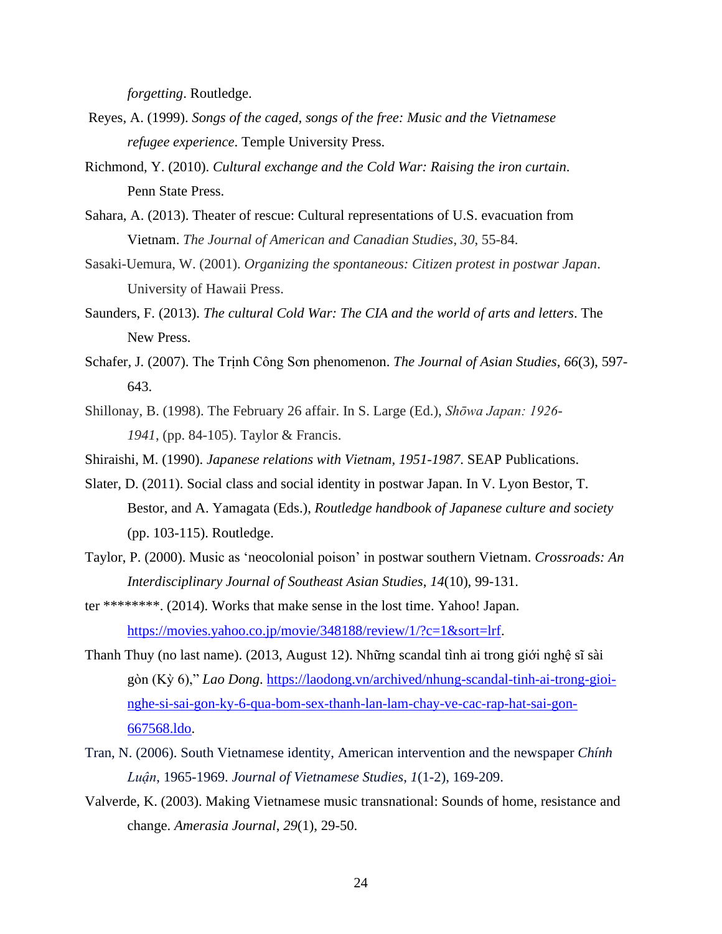*forgetting*. Routledge.

- Reyes, A. (1999). *Songs of the caged, songs of the free: Music and the Vietnamese refugee experience*. Temple University Press.
- Richmond, Y. (2010). *Cultural exchange and the Cold War: Raising the iron curtain*. Penn State Press.
- Sahara, A. (2013). Theater of rescue: Cultural representations of U.S. evacuation from Vietnam. *The Journal of American and Canadian Studies*, *30*, 55-84.
- Sasaki-Uemura, W. (2001). *Organizing the spontaneous: Citizen protest in postwar Japan*. University of Hawaii Press.
- Saunders, F. (2013). *The cultural Cold War: The CIA and the world of arts and letters*. The New Press.
- Schafer, J. (2007). The Trịnh Công Sơn phenomenon. *The Journal of Asian Studies*, *66*(3), 597- 643.
- Shillonay, B. (1998). The February 26 affair. In S. Large (Ed.), *Shōwa Japan: 1926- 1941*, (pp. 84-105). Taylor & Francis.
- Shiraishi, M. (1990). *Japanese relations with Vietnam, 1951-1987*. SEAP Publications.
- Slater, D. (2011). Social class and social identity in postwar Japan. In V. Lyon Bestor, T. Bestor, and A. Yamagata (Eds.), *Routledge handbook of Japanese culture and society* (pp. 103-115). Routledge.
- Taylor, P. (2000). Music as 'neocolonial poison' in postwar southern Vietnam. *Crossroads: An Interdisciplinary Journal of Southeast Asian Studies*, *14*(10), 99-131.
- ter \*\*\*\*\*\*\*\*. (2014). Works that make sense in the lost time. Yahoo! Japan. [https://movies.yahoo.co.jp/movie/348188/review/1/?c=1&sort=lrf.](https://movies.yahoo.co.jp/movie/348188/review/1/?c=1&sort=lrf)
- Thanh Thuy (no last name). (2013, August 12). Những scandal tình ai trong giới nghệ sĩ sài gòn (Kỳ 6)," *Lao Dong*. [https://laodong.vn/archived/nhung-scandal-tinh-ai-trong-gioi](https://laodong.vn/archived/nhung-scandal-tinh-ai-trong-gioi-nghe-si-sai-gon-ky-6-qua-bom-sex-thanh-lan-lam-chay-ve-cac-rap-hat-sai-gon-667568.ldo)[nghe-si-sai-gon-ky-6-qua-bom-sex-thanh-lan-lam-chay-ve-cac-rap-hat-sai-gon-](https://laodong.vn/archived/nhung-scandal-tinh-ai-trong-gioi-nghe-si-sai-gon-ky-6-qua-bom-sex-thanh-lan-lam-chay-ve-cac-rap-hat-sai-gon-667568.ldo)[667568.ldo.](https://laodong.vn/archived/nhung-scandal-tinh-ai-trong-gioi-nghe-si-sai-gon-ky-6-qua-bom-sex-thanh-lan-lam-chay-ve-cac-rap-hat-sai-gon-667568.ldo)
- Tran, N. (2006). South Vietnamese identity, American intervention and the newspaper *Chính Luận*, 1965-1969. *Journal of Vietnamese Studies*, *1*(1-2), 169-209.
- Valverde, K. (2003). Making Vietnamese music transnational: Sounds of home, resistance and change. *Amerasia Journal*, *29*(1), 29-50.